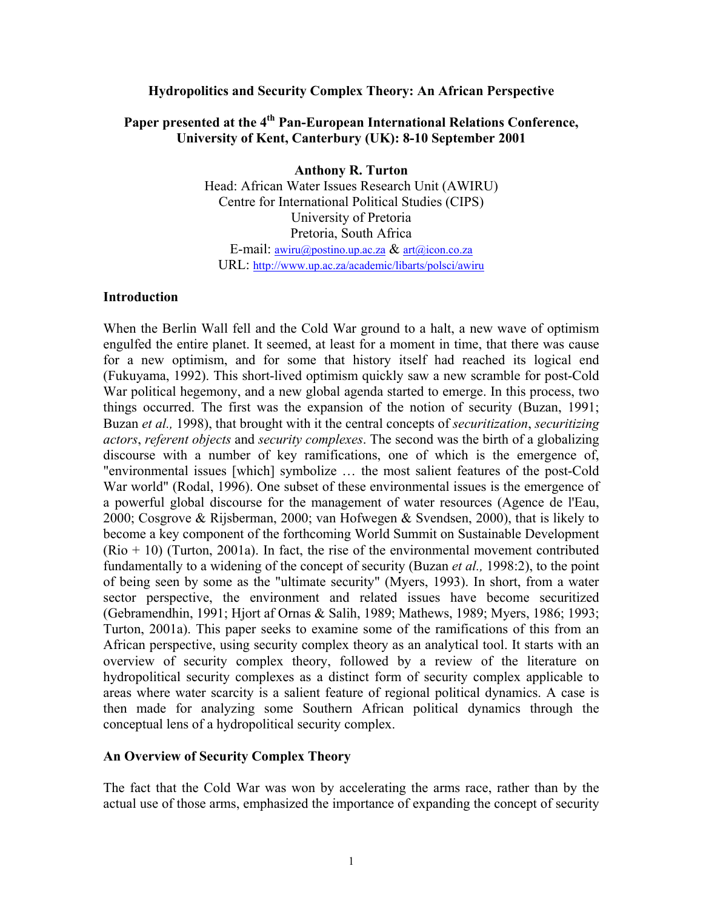#### **Hydropolitics and Security Complex Theory: An African Perspective**

# Paper presented at the 4<sup>th</sup> Pan-European International Relations Conference, **University of Kent, Canterbury (UK): 8-10 September 2001**

**Anthony R. Turton** Head: African Water Issues Research Unit (AWIRU) Centre for International Political Studies (CIPS) University of Pretoria Pretoria, South Africa E-mail: [awiru@postino.up.ac.za](mailto:awiru@postino.up.ac.za) & [art@icon.co.za](mailto:art@icon.co.za) URL:<http://www.up.ac.za/academic/libarts/polsci/awiru>

#### **Introduction**

When the Berlin Wall fell and the Cold War ground to a halt, a new wave of optimism engulfed the entire planet. It seemed, at least for a moment in time, that there was cause for a new optimism, and for some that history itself had reached its logical end (Fukuyama, 1992). This short-lived optimism quickly saw a new scramble for post-Cold War political hegemony, and a new global agenda started to emerge. In this process, two things occurred. The first was the expansion of the notion of security (Buzan, 1991; Buzan *et al.,* 1998), that brought with it the central concepts of *securitization*, *securitizing actors*, *referent objects* and *security complexes*. The second was the birth of a globalizing discourse with a number of key ramifications, one of which is the emergence of, "environmental issues [which] symbolize … the most salient features of the post-Cold War world" (Rodal, 1996). One subset of these environmental issues is the emergence of a powerful global discourse for the management of water resources (Agence de l'Eau, 2000; Cosgrove & Rijsberman, 2000; van Hofwegen & Svendsen, 2000), that is likely to become a key component of the forthcoming World Summit on Sustainable Development  $(Rio + 10)$  (Turton, 2001a). In fact, the rise of the environmental movement contributed fundamentally to a widening of the concept of security (Buzan *et al.,* 1998:2), to the point of being seen by some as the "ultimate security" (Myers, 1993). In short, from a water sector perspective, the environment and related issues have become securitized (Gebramendhin, 1991; Hjort af Ornas & Salih, 1989; Mathews, 1989; Myers, 1986; 1993; Turton, 2001a). This paper seeks to examine some of the ramifications of this from an African perspective, using security complex theory as an analytical tool. It starts with an overview of security complex theory, followed by a review of the literature on hydropolitical security complexes as a distinct form of security complex applicable to areas where water scarcity is a salient feature of regional political dynamics. A case is then made for analyzing some Southern African political dynamics through the conceptual lens of a hydropolitical security complex.

### **An Overview of Security Complex Theory**

The fact that the Cold War was won by accelerating the arms race, rather than by the actual use of those arms, emphasized the importance of expanding the concept of security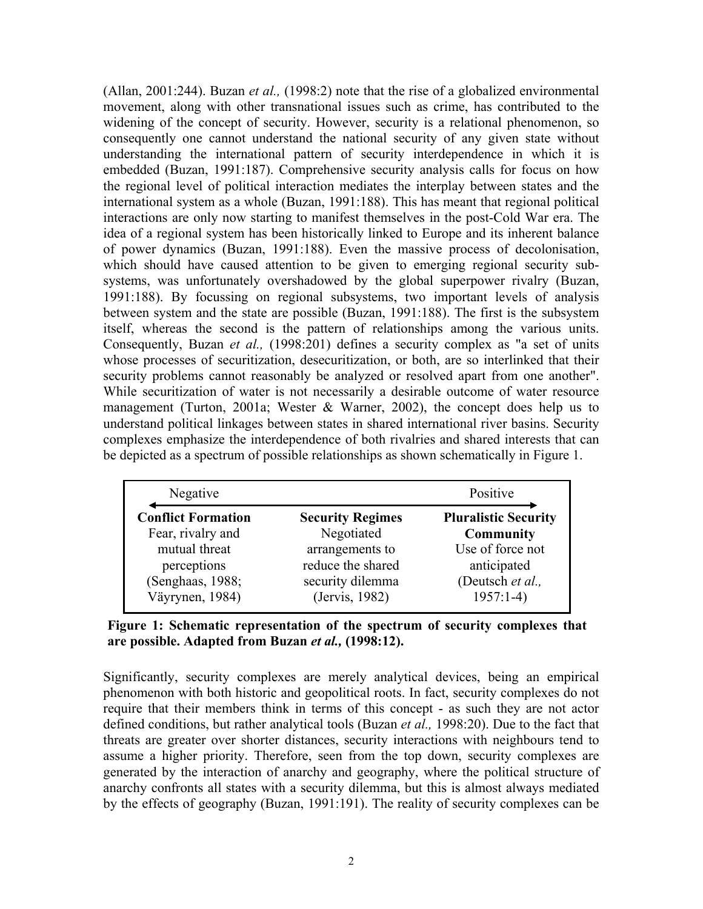(Allan, 2001:244). Buzan *et al.,* (1998:2) note that the rise of a globalized environmental movement, along with other transnational issues such as crime, has contributed to the widening of the concept of security. However, security is a relational phenomenon, so consequently one cannot understand the national security of any given state without understanding the international pattern of security interdependence in which it is embedded (Buzan, 1991:187). Comprehensive security analysis calls for focus on how the regional level of political interaction mediates the interplay between states and the international system as a whole (Buzan, 1991:188). This has meant that regional political interactions are only now starting to manifest themselves in the post-Cold War era. The idea of a regional system has been historically linked to Europe and its inherent balance of power dynamics (Buzan, 1991:188). Even the massive process of decolonisation, which should have caused attention to be given to emerging regional security subsystems, was unfortunately overshadowed by the global superpower rivalry (Buzan, 1991:188). By focussing on regional subsystems, two important levels of analysis between system and the state are possible (Buzan, 1991:188). The first is the subsystem itself, whereas the second is the pattern of relationships among the various units. Consequently, Buzan *et al.,* (1998:201) defines a security complex as "a set of units whose processes of securitization, desecuritization, or both, are so interlinked that their security problems cannot reasonably be analyzed or resolved apart from one another". While securitization of water is not necessarily a desirable outcome of water resource management (Turton, 2001a; Wester & Warner, 2002), the concept does help us to understand political linkages between states in shared international river basins. Security complexes emphasize the interdependence of both rivalries and shared interests that can be depicted as a spectrum of possible relationships as shown schematically in Figure 1.

| Negative                  |                         | Positive                    |
|---------------------------|-------------------------|-----------------------------|
| <b>Conflict Formation</b> | <b>Security Regimes</b> | <b>Pluralistic Security</b> |
| Fear, rivalry and         | Negotiated              | <b>Community</b>            |
| mutual threat             | arrangements to         | Use of force not            |
| perceptions               | reduce the shared       | anticipated                 |
| (Senghaas, 1988;          | security dilemma        | (Deutsch et al.,            |
| Väyrynen, 1984)           | (Jervis, 1982)          | $1957:1-4$                  |

**Figure 1: Schematic representation of the spectrum of security complexes that are possible. Adapted from Buzan** *et al.,* **(1998:12).** 

Significantly, security complexes are merely analytical devices, being an empirical phenomenon with both historic and geopolitical roots. In fact, security complexes do not require that their members think in terms of this concept - as such they are not actor defined conditions, but rather analytical tools (Buzan *et al.,* 1998:20). Due to the fact that threats are greater over shorter distances, security interactions with neighbours tend to assume a higher priority. Therefore, seen from the top down, security complexes are generated by the interaction of anarchy and geography, where the political structure of anarchy confronts all states with a security dilemma, but this is almost always mediated by the effects of geography (Buzan, 1991:191). The reality of security complexes can be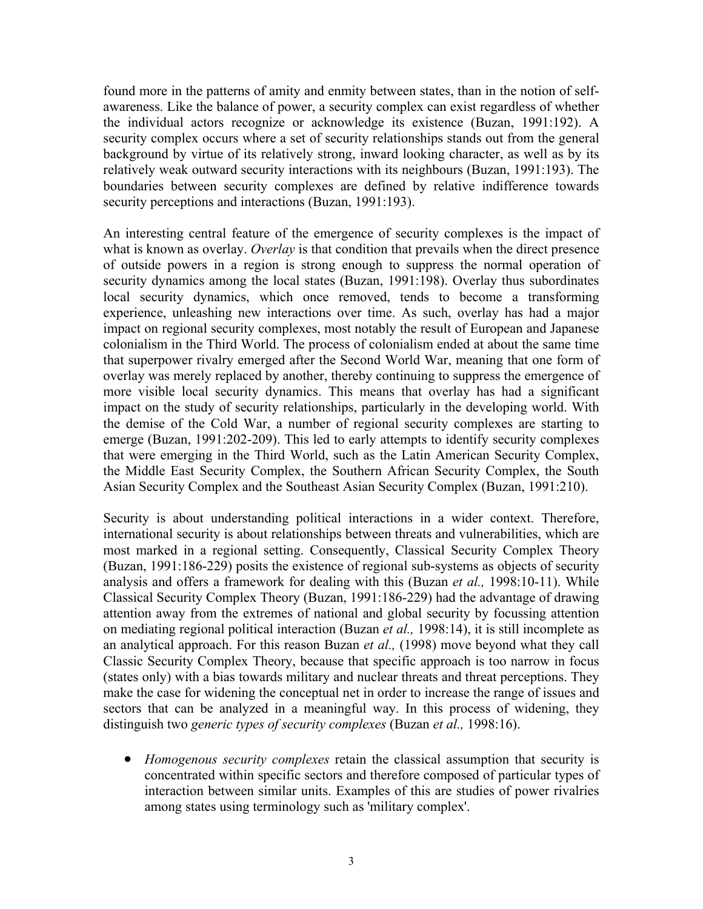found more in the patterns of amity and enmity between states, than in the notion of selfawareness. Like the balance of power, a security complex can exist regardless of whether the individual actors recognize or acknowledge its existence (Buzan, 1991:192). A security complex occurs where a set of security relationships stands out from the general background by virtue of its relatively strong, inward looking character, as well as by its relatively weak outward security interactions with its neighbours (Buzan, 1991:193). The boundaries between security complexes are defined by relative indifference towards security perceptions and interactions (Buzan, 1991:193).

An interesting central feature of the emergence of security complexes is the impact of what is known as overlay. *Overlay* is that condition that prevails when the direct presence of outside powers in a region is strong enough to suppress the normal operation of security dynamics among the local states (Buzan, 1991:198). Overlay thus subordinates local security dynamics, which once removed, tends to become a transforming experience, unleashing new interactions over time. As such, overlay has had a major impact on regional security complexes, most notably the result of European and Japanese colonialism in the Third World. The process of colonialism ended at about the same time that superpower rivalry emerged after the Second World War, meaning that one form of overlay was merely replaced by another, thereby continuing to suppress the emergence of more visible local security dynamics. This means that overlay has had a significant impact on the study of security relationships, particularly in the developing world. With the demise of the Cold War, a number of regional security complexes are starting to emerge (Buzan, 1991:202-209). This led to early attempts to identify security complexes that were emerging in the Third World, such as the Latin American Security Complex, the Middle East Security Complex, the Southern African Security Complex, the South Asian Security Complex and the Southeast Asian Security Complex (Buzan, 1991:210).

Security is about understanding political interactions in a wider context. Therefore, international security is about relationships between threats and vulnerabilities, which are most marked in a regional setting. Consequently, Classical Security Complex Theory (Buzan, 1991:186-229) posits the existence of regional sub-systems as objects of security analysis and offers a framework for dealing with this (Buzan *et al.,* 1998:10-11). While Classical Security Complex Theory (Buzan, 1991:186-229) had the advantage of drawing attention away from the extremes of national and global security by focussing attention on mediating regional political interaction (Buzan *et al.,* 1998:14), it is still incomplete as an analytical approach. For this reason Buzan *et al.,* (1998) move beyond what they call Classic Security Complex Theory, because that specific approach is too narrow in focus (states only) with a bias towards military and nuclear threats and threat perceptions. They make the case for widening the conceptual net in order to increase the range of issues and sectors that can be analyzed in a meaningful way. In this process of widening, they distinguish two *generic types of security complexes* (Buzan *et al.,* 1998:16).

• *Homogenous security complexes* retain the classical assumption that security is concentrated within specific sectors and therefore composed of particular types of interaction between similar units. Examples of this are studies of power rivalries among states using terminology such as 'military complex'.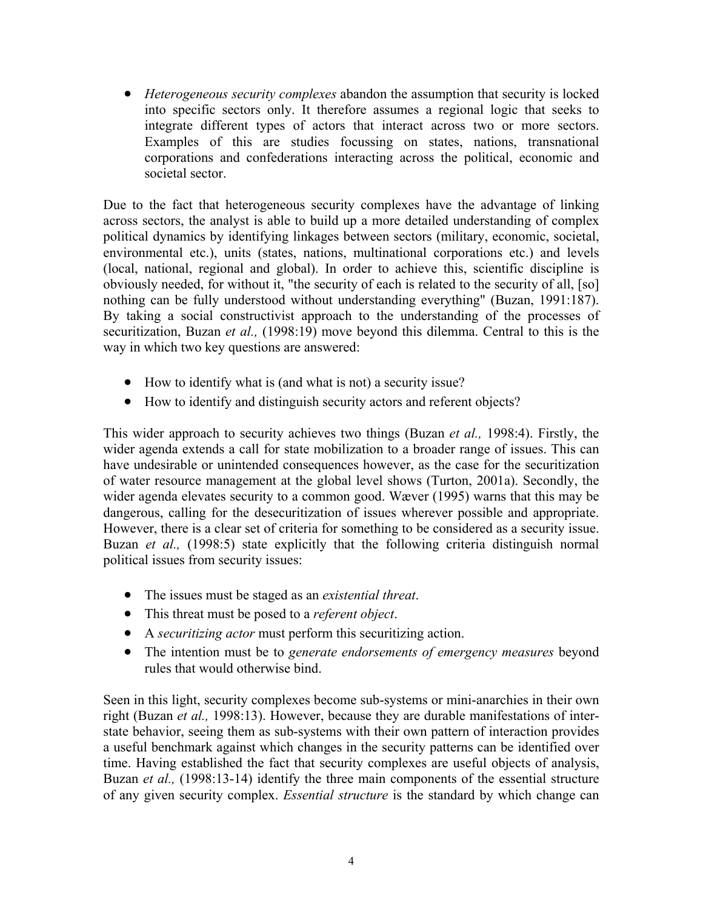• *Heterogeneous security complexes* abandon the assumption that security is locked into specific sectors only. It therefore assumes a regional logic that seeks to integrate different types of actors that interact across two or more sectors. Examples of this are studies focussing on states, nations, transnational corporations and confederations interacting across the political, economic and societal sector.

Due to the fact that heterogeneous security complexes have the advantage of linking across sectors, the analyst is able to build up a more detailed understanding of complex political dynamics by identifying linkages between sectors (military, economic, societal, environmental etc.), units (states, nations, multinational corporations etc.) and levels (local, national, regional and global). In order to achieve this, scientific discipline is obviously needed, for without it, "the security of each is related to the security of all, [so] nothing can be fully understood without understanding everything" (Buzan, 1991:187). By taking a social constructivist approach to the understanding of the processes of securitization, Buzan *et al.,* (1998:19) move beyond this dilemma. Central to this is the way in which two key questions are answered:

- How to identify what is (and what is not) a security issue?
- How to identify and distinguish security actors and referent objects?

This wider approach to security achieves two things (Buzan *et al.,* 1998:4). Firstly, the wider agenda extends a call for state mobilization to a broader range of issues. This can have undesirable or unintended consequences however, as the case for the securitization of water resource management at the global level shows (Turton, 2001a). Secondly, the wider agenda elevates security to a common good. Wæver (1995) warns that this may be dangerous, calling for the desecuritization of issues wherever possible and appropriate. However, there is a clear set of criteria for something to be considered as a security issue. Buzan *et al.,* (1998:5) state explicitly that the following criteria distinguish normal political issues from security issues:

- The issues must be staged as an *existential threat*.
- This threat must be posed to a *referent object*.
- A *securitizing actor* must perform this securitizing action.
- The intention must be to *generate endorsements of emergency measures* beyond rules that would otherwise bind.

Seen in this light, security complexes become sub-systems or mini-anarchies in their own right (Buzan *et al.,* 1998:13). However, because they are durable manifestations of interstate behavior, seeing them as sub-systems with their own pattern of interaction provides a useful benchmark against which changes in the security patterns can be identified over time. Having established the fact that security complexes are useful objects of analysis, Buzan *et al.*, (1998:13-14) identify the three main components of the essential structure of any given security complex. *Essential structure* is the standard by which change can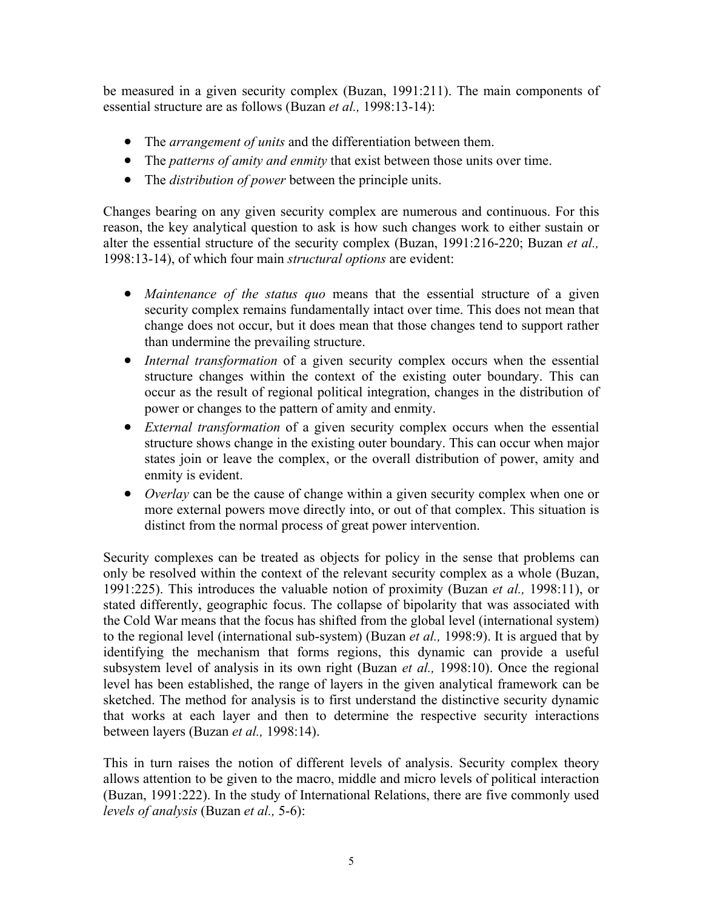be measured in a given security complex (Buzan, 1991:211). The main components of essential structure are as follows (Buzan *et al.,* 1998:13-14):

- The *arrangement of units* and the differentiation between them.
- The *patterns of amity and enmity* that exist between those units over time.
- The *distribution of power* between the principle units.

Changes bearing on any given security complex are numerous and continuous. For this reason, the key analytical question to ask is how such changes work to either sustain or alter the essential structure of the security complex (Buzan, 1991:216-220; Buzan *et al.,* 1998:13-14), of which four main *structural options* are evident:

- *Maintenance of the status quo* means that the essential structure of a given security complex remains fundamentally intact over time. This does not mean that change does not occur, but it does mean that those changes tend to support rather than undermine the prevailing structure.
- *Internal transformation* of a given security complex occurs when the essential structure changes within the context of the existing outer boundary. This can occur as the result of regional political integration, changes in the distribution of power or changes to the pattern of amity and enmity.
- *External transformation* of a given security complex occurs when the essential structure shows change in the existing outer boundary. This can occur when major states join or leave the complex, or the overall distribution of power, amity and enmity is evident.
- *Overlay* can be the cause of change within a given security complex when one or more external powers move directly into, or out of that complex. This situation is distinct from the normal process of great power intervention.

Security complexes can be treated as objects for policy in the sense that problems can only be resolved within the context of the relevant security complex as a whole (Buzan, 1991:225). This introduces the valuable notion of proximity (Buzan *et al.,* 1998:11), or stated differently, geographic focus. The collapse of bipolarity that was associated with the Cold War means that the focus has shifted from the global level (international system) to the regional level (international sub-system) (Buzan *et al.,* 1998:9). It is argued that by identifying the mechanism that forms regions, this dynamic can provide a useful subsystem level of analysis in its own right (Buzan *et al.,* 1998:10). Once the regional level has been established, the range of layers in the given analytical framework can be sketched. The method for analysis is to first understand the distinctive security dynamic that works at each layer and then to determine the respective security interactions between layers (Buzan *et al.,* 1998:14).

This in turn raises the notion of different levels of analysis. Security complex theory allows attention to be given to the macro, middle and micro levels of political interaction (Buzan, 1991:222). In the study of International Relations, there are five commonly used *levels of analysis* (Buzan *et al.,* 5-6):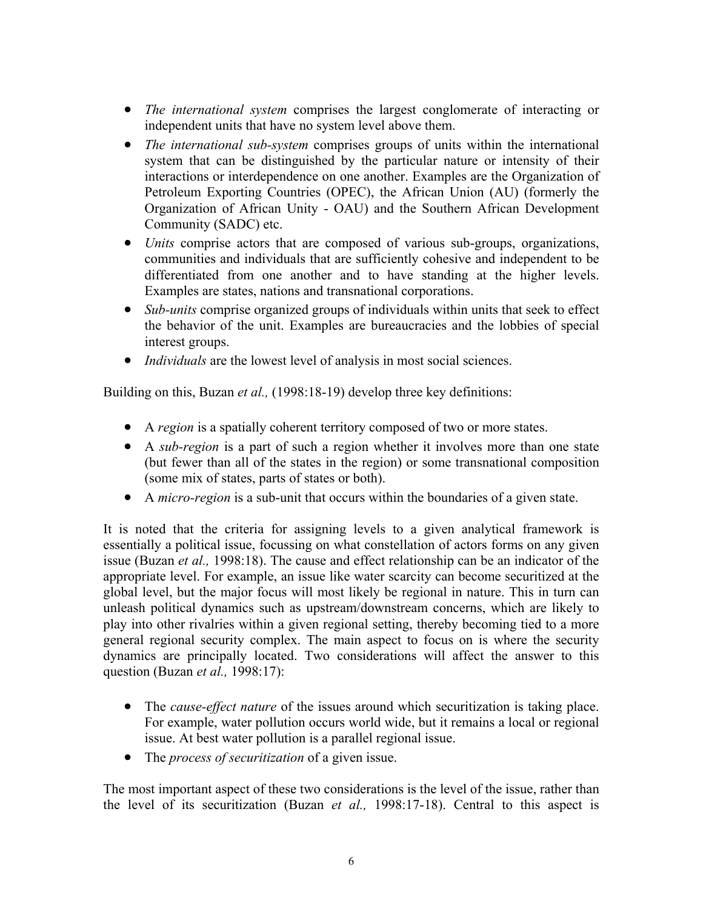- *The international system* comprises the largest conglomerate of interacting or independent units that have no system level above them.
- *The international sub-system* comprises groups of units within the international system that can be distinguished by the particular nature or intensity of their interactions or interdependence on one another. Examples are the Organization of Petroleum Exporting Countries (OPEC), the African Union (AU) (formerly the Organization of African Unity - OAU) and the Southern African Development Community (SADC) etc.
- *Units* comprise actors that are composed of various sub-groups, organizations, communities and individuals that are sufficiently cohesive and independent to be differentiated from one another and to have standing at the higher levels. Examples are states, nations and transnational corporations.
- *Sub-units* comprise organized groups of individuals within units that seek to effect the behavior of the unit. Examples are bureaucracies and the lobbies of special interest groups.
- *Individuals* are the lowest level of analysis in most social sciences.

Building on this, Buzan *et al.,* (1998:18-19) develop three key definitions:

- A *region* is a spatially coherent territory composed of two or more states.
- A *sub-region* is a part of such a region whether it involves more than one state (but fewer than all of the states in the region) or some transnational composition (some mix of states, parts of states or both).
- A *micro-region* is a sub-unit that occurs within the boundaries of a given state.

It is noted that the criteria for assigning levels to a given analytical framework is essentially a political issue, focussing on what constellation of actors forms on any given issue (Buzan *et al.,* 1998:18). The cause and effect relationship can be an indicator of the appropriate level. For example, an issue like water scarcity can become securitized at the global level, but the major focus will most likely be regional in nature. This in turn can unleash political dynamics such as upstream/downstream concerns, which are likely to play into other rivalries within a given regional setting, thereby becoming tied to a more general regional security complex. The main aspect to focus on is where the security dynamics are principally located. Two considerations will affect the answer to this question (Buzan *et al.,* 1998:17):

- The *cause-effect nature* of the issues around which securitization is taking place. For example, water pollution occurs world wide, but it remains a local or regional issue. At best water pollution is a parallel regional issue.
- The *process of securitization* of a given issue.

The most important aspect of these two considerations is the level of the issue, rather than the level of its securitization (Buzan *et al.,* 1998:17-18). Central to this aspect is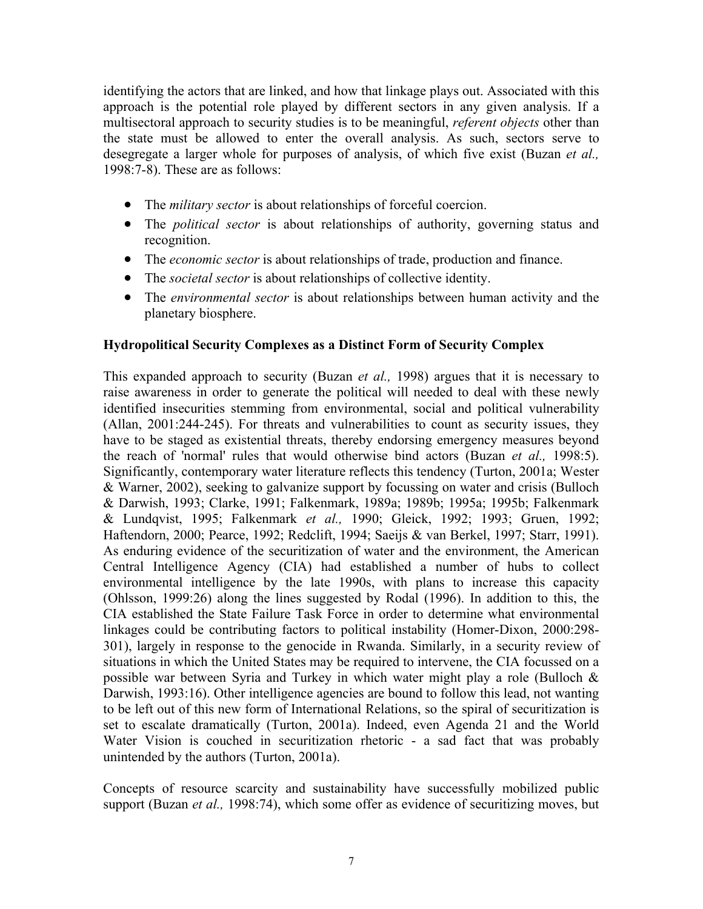identifying the actors that are linked, and how that linkage plays out. Associated with this approach is the potential role played by different sectors in any given analysis. If a multisectoral approach to security studies is to be meaningful, *referent objects* other than the state must be allowed to enter the overall analysis. As such, sectors serve to desegregate a larger whole for purposes of analysis, of which five exist (Buzan *et al.,* 1998:7-8). These are as follows:

- The *military sector* is about relationships of forceful coercion.
- The *political sector* is about relationships of authority, governing status and recognition.
- The *economic sector* is about relationships of trade, production and finance.
- The *societal sector* is about relationships of collective identity.
- The *environmental sector* is about relationships between human activity and the planetary biosphere.

# **Hydropolitical Security Complexes as a Distinct Form of Security Complex**

This expanded approach to security (Buzan *et al.,* 1998) argues that it is necessary to raise awareness in order to generate the political will needed to deal with these newly identified insecurities stemming from environmental, social and political vulnerability (Allan, 2001:244-245). For threats and vulnerabilities to count as security issues, they have to be staged as existential threats, thereby endorsing emergency measures beyond the reach of 'normal' rules that would otherwise bind actors (Buzan *et al.,* 1998:5). Significantly, contemporary water literature reflects this tendency (Turton, 2001a; Wester & Warner, 2002), seeking to galvanize support by focussing on water and crisis (Bulloch & Darwish, 1993; Clarke, 1991; Falkenmark, 1989a; 1989b; 1995a; 1995b; Falkenmark & Lundqvist, 1995; Falkenmark *et al.,* 1990; Gleick, 1992; 1993; Gruen, 1992; Haftendorn, 2000; Pearce, 1992; Redclift, 1994; Saeijs & van Berkel, 1997; Starr, 1991). As enduring evidence of the securitization of water and the environment, the American Central Intelligence Agency (CIA) had established a number of hubs to collect environmental intelligence by the late 1990s, with plans to increase this capacity (Ohlsson, 1999:26) along the lines suggested by Rodal (1996). In addition to this, the CIA established the State Failure Task Force in order to determine what environmental linkages could be contributing factors to political instability (Homer-Dixon, 2000:298- 301), largely in response to the genocide in Rwanda. Similarly, in a security review of situations in which the United States may be required to intervene, the CIA focussed on a possible war between Syria and Turkey in which water might play a role (Bulloch & Darwish, 1993:16). Other intelligence agencies are bound to follow this lead, not wanting to be left out of this new form of International Relations, so the spiral of securitization is set to escalate dramatically (Turton, 2001a). Indeed, even Agenda 21 and the World Water Vision is couched in securitization rhetoric - a sad fact that was probably unintended by the authors (Turton, 2001a).

Concepts of resource scarcity and sustainability have successfully mobilized public support (Buzan *et al.,* 1998:74), which some offer as evidence of securitizing moves, but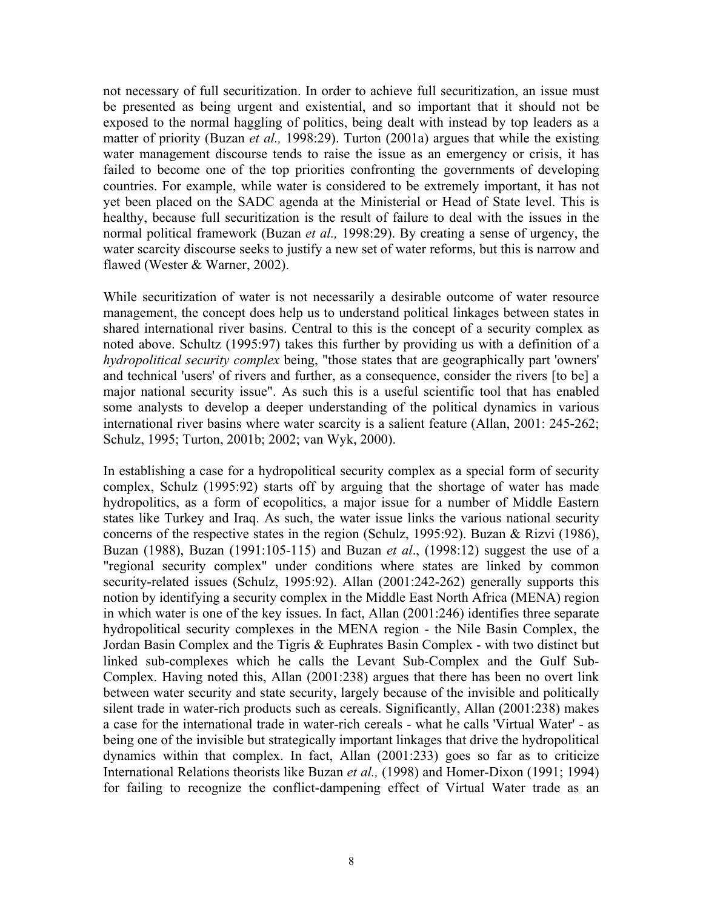not necessary of full securitization. In order to achieve full securitization, an issue must be presented as being urgent and existential, and so important that it should not be exposed to the normal haggling of politics, being dealt with instead by top leaders as a matter of priority (Buzan *et al.,* 1998:29). Turton (2001a) argues that while the existing water management discourse tends to raise the issue as an emergency or crisis, it has failed to become one of the top priorities confronting the governments of developing countries. For example, while water is considered to be extremely important, it has not yet been placed on the SADC agenda at the Ministerial or Head of State level. This is healthy, because full securitization is the result of failure to deal with the issues in the normal political framework (Buzan *et al.,* 1998:29). By creating a sense of urgency, the water scarcity discourse seeks to justify a new set of water reforms, but this is narrow and flawed (Wester & Warner, 2002).

While securitization of water is not necessarily a desirable outcome of water resource management, the concept does help us to understand political linkages between states in shared international river basins. Central to this is the concept of a security complex as noted above. Schultz (1995:97) takes this further by providing us with a definition of a *hydropolitical security complex* being, "those states that are geographically part 'owners' and technical 'users' of rivers and further, as a consequence, consider the rivers [to be] a major national security issue". As such this is a useful scientific tool that has enabled some analysts to develop a deeper understanding of the political dynamics in various international river basins where water scarcity is a salient feature (Allan, 2001: 245-262; Schulz, 1995; Turton, 2001b; 2002; van Wyk, 2000).

In establishing a case for a hydropolitical security complex as a special form of security complex, Schulz (1995:92) starts off by arguing that the shortage of water has made hydropolitics, as a form of ecopolitics, a major issue for a number of Middle Eastern states like Turkey and Iraq. As such, the water issue links the various national security concerns of the respective states in the region (Schulz, 1995:92). Buzan & Rizvi (1986), Buzan (1988), Buzan (1991:105-115) and Buzan *et al*., (1998:12) suggest the use of a "regional security complex" under conditions where states are linked by common security-related issues (Schulz, 1995:92). Allan (2001:242-262) generally supports this notion by identifying a security complex in the Middle East North Africa (MENA) region in which water is one of the key issues. In fact, Allan (2001:246) identifies three separate hydropolitical security complexes in the MENA region - the Nile Basin Complex, the Jordan Basin Complex and the Tigris & Euphrates Basin Complex - with two distinct but linked sub-complexes which he calls the Levant Sub-Complex and the Gulf Sub-Complex. Having noted this, Allan (2001:238) argues that there has been no overt link between water security and state security, largely because of the invisible and politically silent trade in water-rich products such as cereals. Significantly, Allan (2001:238) makes a case for the international trade in water-rich cereals - what he calls 'Virtual Water' - as being one of the invisible but strategically important linkages that drive the hydropolitical dynamics within that complex. In fact, Allan (2001:233) goes so far as to criticize International Relations theorists like Buzan *et al.,* (1998) and Homer-Dixon (1991; 1994) for failing to recognize the conflict-dampening effect of Virtual Water trade as an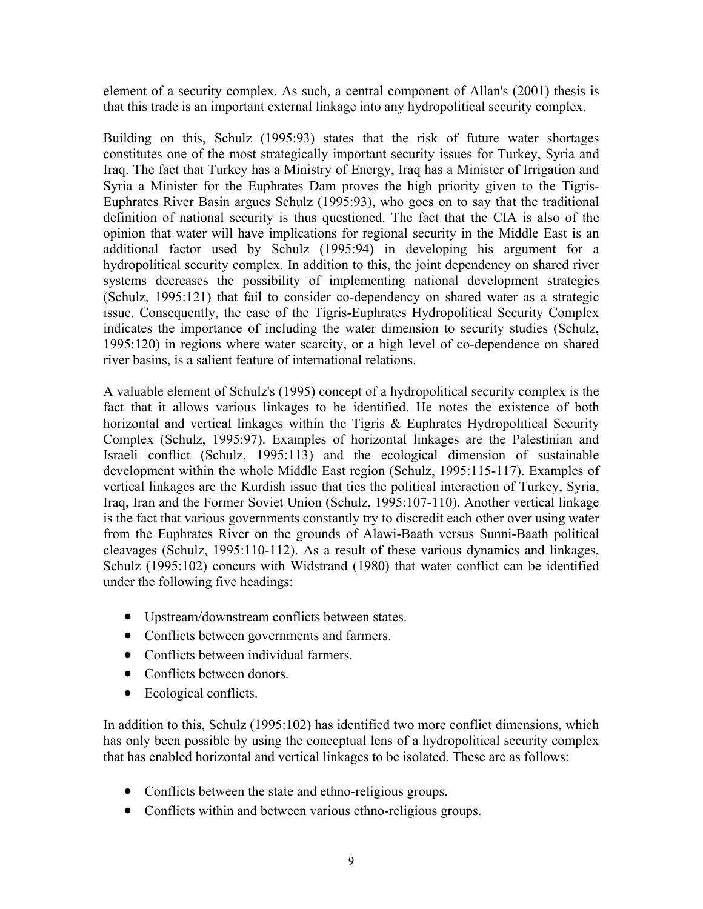element of a security complex. As such, a central component of Allan's (2001) thesis is that this trade is an important external linkage into any hydropolitical security complex.

Building on this, Schulz (1995:93) states that the risk of future water shortages constitutes one of the most strategically important security issues for Turkey, Syria and Iraq. The fact that Turkey has a Ministry of Energy, Iraq has a Minister of Irrigation and Syria a Minister for the Euphrates Dam proves the high priority given to the Tigris-Euphrates River Basin argues Schulz (1995:93), who goes on to say that the traditional definition of national security is thus questioned. The fact that the CIA is also of the opinion that water will have implications for regional security in the Middle East is an additional factor used by Schulz (1995:94) in developing his argument for a hydropolitical security complex. In addition to this, the joint dependency on shared river systems decreases the possibility of implementing national development strategies (Schulz, 1995:121) that fail to consider co-dependency on shared water as a strategic issue. Consequently, the case of the Tigris-Euphrates Hydropolitical Security Complex indicates the importance of including the water dimension to security studies (Schulz, 1995:120) in regions where water scarcity, or a high level of co-dependence on shared river basins, is a salient feature of international relations.

A valuable element of Schulz's (1995) concept of a hydropolitical security complex is the fact that it allows various linkages to be identified. He notes the existence of both horizontal and vertical linkages within the Tigris & Euphrates Hydropolitical Security Complex (Schulz, 1995:97). Examples of horizontal linkages are the Palestinian and Israeli conflict (Schulz, 1995:113) and the ecological dimension of sustainable development within the whole Middle East region (Schulz, 1995:115-117). Examples of vertical linkages are the Kurdish issue that ties the political interaction of Turkey, Syria, Iraq, Iran and the Former Soviet Union (Schulz, 1995:107-110). Another vertical linkage is the fact that various governments constantly try to discredit each other over using water from the Euphrates River on the grounds of Alawi-Baath versus Sunni-Baath political cleavages (Schulz, 1995:110-112). As a result of these various dynamics and linkages, Schulz (1995:102) concurs with Widstrand (1980) that water conflict can be identified under the following five headings:

- Upstream/downstream conflicts between states.
- Conflicts between governments and farmers.
- Conflicts between individual farmers.
- Conflicts between donors.
- Ecological conflicts.

In addition to this, Schulz (1995:102) has identified two more conflict dimensions, which has only been possible by using the conceptual lens of a hydropolitical security complex that has enabled horizontal and vertical linkages to be isolated. These are as follows:

- Conflicts between the state and ethno-religious groups.
- Conflicts within and between various ethno-religious groups.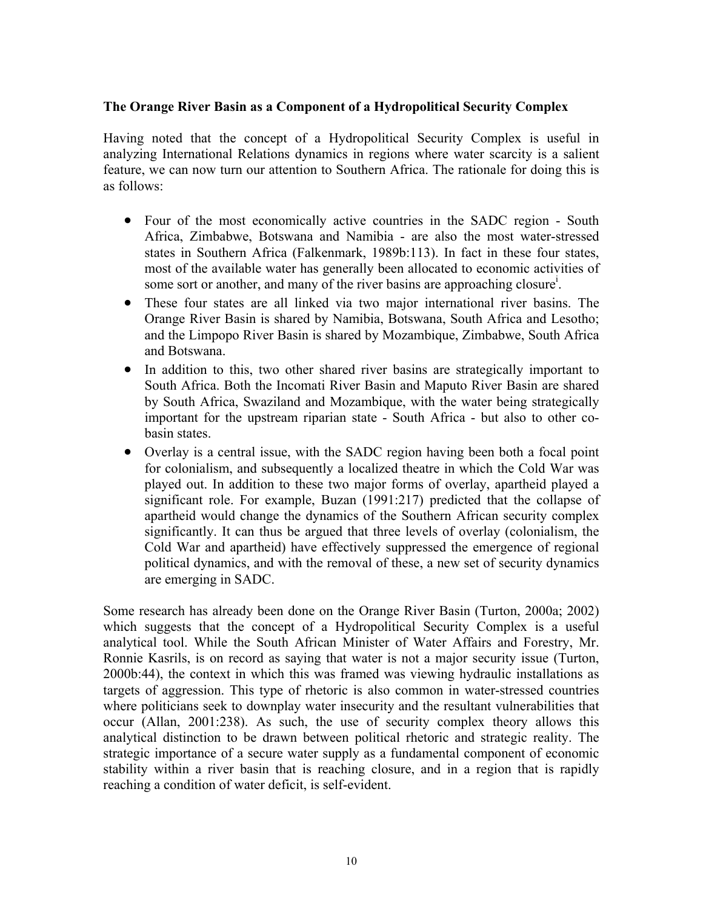### **The Orange River Basin as a Component of a Hydropolitical Security Complex**

Having noted that the concept of a Hydropolitical Security Complex is useful in analyzing International Relations dynamics in regions where water scarcity is a salient feature, we can now turn our attention to Southern Africa. The rationale for doing this is as follows:

- Four of the most economically active countries in the SADC region South Africa, Zimbabwe, Botswana and Namibia - are also the most water-stressed states in Southern Africa (Falkenmark, 1989b:113). In fact in these four states, most of the available water has generally been allocated to economic activities of some sort or another, and many of the river basins are approaching closure<sup>i</sup>[.](#page-25-0)
- These four states are all linked via two major international river basins. The Orange River Basin is shared by Namibia, Botswana, South Africa and Lesotho; and the Limpopo River Basin is shared by Mozambique, Zimbabwe, South Africa and Botswana.
- In addition to this, two other shared river basins are strategically important to South Africa. Both the Incomati River Basin and Maputo River Basin are shared by South Africa, Swaziland and Mozambique, with the water being strategically important for the upstream riparian state - South Africa - but also to other cobasin states.
- Overlay is a central issue, with the SADC region having been both a focal point for colonialism, and subsequently a localized theatre in which the Cold War was played out. In addition to these two major forms of overlay, apartheid played a significant role. For example, Buzan (1991:217) predicted that the collapse of apartheid would change the dynamics of the Southern African security complex significantly. It can thus be argued that three levels of overlay (colonialism, the Cold War and apartheid) have effectively suppressed the emergence of regional political dynamics, and with the removal of these, a new set of security dynamics are emerging in SADC.

Some research has already been done on the Orange River Basin (Turton, 2000a; 2002) which suggests that the concept of a Hydropolitical Security Complex is a useful analytical tool. While the South African Minister of Water Affairs and Forestry, Mr. Ronnie Kasrils, is on record as saying that water is not a major security issue (Turton, 2000b:44), the context in which this was framed was viewing hydraulic installations as targets of aggression. This type of rhetoric is also common in water-stressed countries where politicians seek to downplay water insecurity and the resultant vulnerabilities that occur (Allan, 2001:238). As such, the use of security complex theory allows this analytical distinction to be drawn between political rhetoric and strategic reality. The strategic importance of a secure water supply as a fundamental component of economic stability within a river basin that is reaching closure, and in a region that is rapidly reaching a condition of water deficit, is self-evident.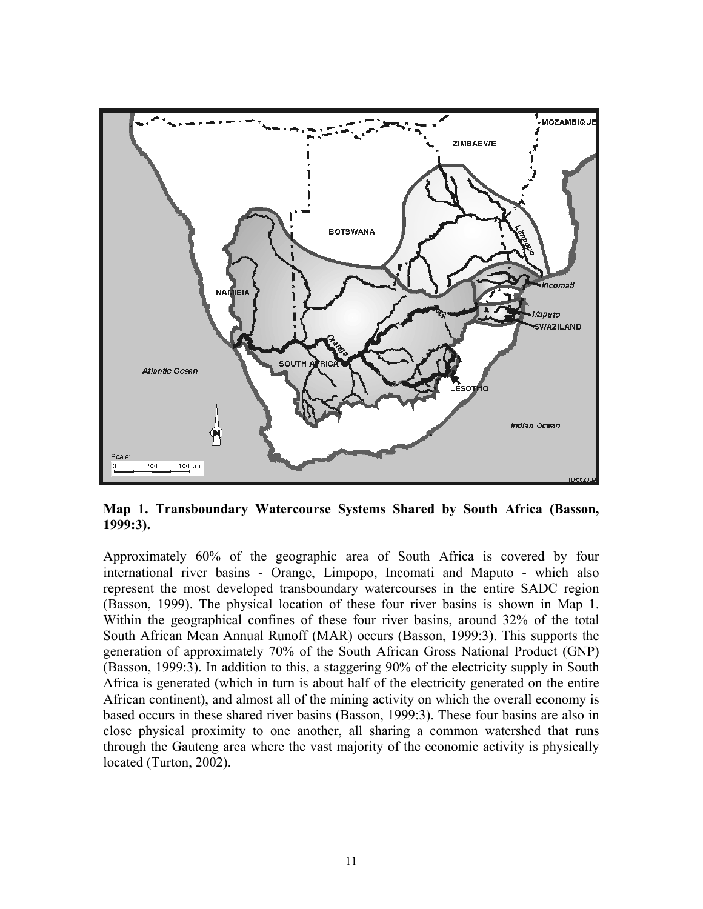

**Map 1. Transboundary Watercourse Systems Shared by South Africa (Basson, 1999:3).**

Approximately 60% of the geographic area of South Africa is covered by four international river basins - Orange, Limpopo, Incomati and Maputo - which also represent the most developed transboundary watercourses in the entire SADC region (Basson, 1999). The physical location of these four river basins is shown in Map 1. Within the geographical confines of these four river basins, around 32% of the total South African Mean Annual Runoff (MAR) occurs (Basson, 1999:3). This supports the generation of approximately 70% of the South African Gross National Product (GNP) (Basson, 1999:3). In addition to this, a staggering 90% of the electricity supply in South Africa is generated (which in turn is about half of the electricity generated on the entire African continent), and almost all of the mining activity on which the overall economy is based occurs in these shared river basins (Basson, 1999:3). These four basins are also in close physical proximity to one another, all sharing a common watershed that runs through the Gauteng area where the vast majority of the economic activity is physically located (Turton, 2002).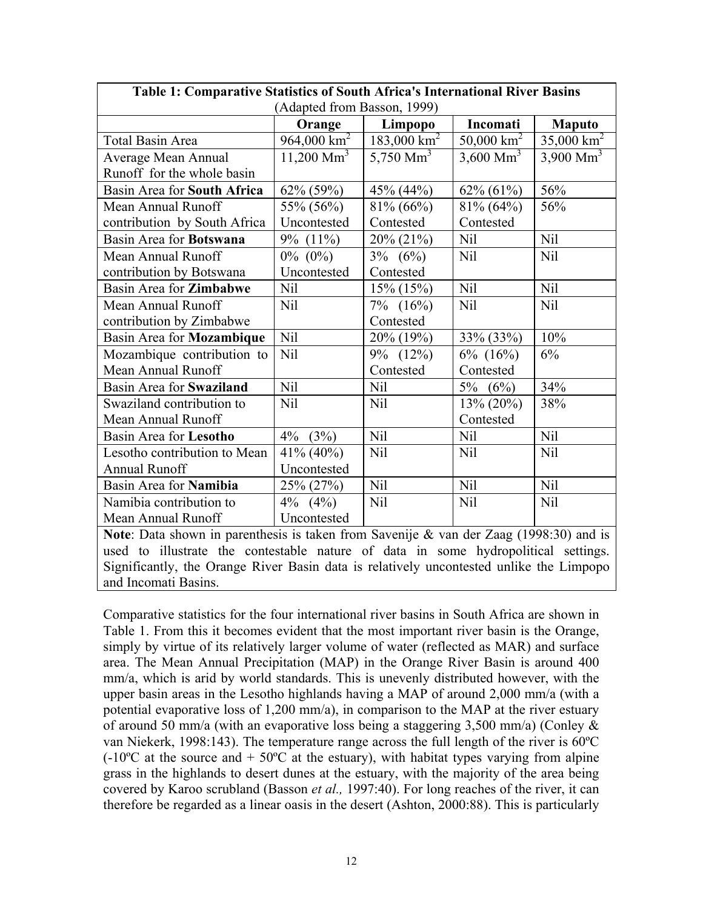| Table 1: Comparative Statistics of South Africa's International River Basins                |                          |                        |                     |                       |  |  |  |  |  |
|---------------------------------------------------------------------------------------------|--------------------------|------------------------|---------------------|-----------------------|--|--|--|--|--|
| (Adapted from Basson, 1999)                                                                 |                          |                        |                     |                       |  |  |  |  |  |
|                                                                                             | Orange                   | Limpopo                | Incomati            | <b>Maputo</b>         |  |  |  |  |  |
| Total Basin Area                                                                            | $964,000 \text{ km}^2$   | $183,000 \text{ km}^2$ | 50,000 $km^2$       | $35,000 \text{ km}^2$ |  |  |  |  |  |
| Average Mean Annual                                                                         | $11,200$ Mm <sup>3</sup> | 5,750 $\text{Mm}^3$    | 3,600 $\text{Mm}^3$ | 3,900 Mm <sup>3</sup> |  |  |  |  |  |
| Runoff for the whole basin                                                                  |                          |                        |                     |                       |  |  |  |  |  |
| Basin Area for South Africa                                                                 | 62% (59%)                | 45% (44%)              | 62% (61%)           | 56%                   |  |  |  |  |  |
| Mean Annual Runoff                                                                          | 55% (56%)                | $81\% (66\%)$          | $81\% (64\%)$       | 56%                   |  |  |  |  |  |
| contribution by South Africa                                                                | Uncontested              | Contested              | Contested           |                       |  |  |  |  |  |
| Basin Area for Botswana                                                                     | $9\%$ $(11\%)$           | 20% (21%)              | Nil                 | Nil                   |  |  |  |  |  |
| Mean Annual Runoff                                                                          | $0\%$ (0%)               | $3\%$ (6%)             | <b>Nil</b>          | <b>Nil</b>            |  |  |  |  |  |
| contribution by Botswana                                                                    | Uncontested              | Contested              |                     |                       |  |  |  |  |  |
| Basin Area for Zimbabwe                                                                     | Nil                      | $15\% (15\%)$          | Nil                 | <b>Nil</b>            |  |  |  |  |  |
| Mean Annual Runoff                                                                          | Nil                      |                        | Nil                 | Nil                   |  |  |  |  |  |
| contribution by Zimbabwe                                                                    |                          | Contested              |                     |                       |  |  |  |  |  |
| Basin Area for Mozambique                                                                   | Nil                      | 20% (19%)              | 33% (33%)           | 10%                   |  |  |  |  |  |
| Mozambique contribution to                                                                  | <b>Nil</b>               | 9% (12%)               | $6\%$ $(16\%)$      | 6%                    |  |  |  |  |  |
| Mean Annual Runoff                                                                          |                          | Contested              | Contested           |                       |  |  |  |  |  |
| Basin Area for Swaziland                                                                    | Nil                      | Nil                    | $5\%$<br>(6%)       | 34%                   |  |  |  |  |  |
| Swaziland contribution to                                                                   | Nil                      | Nil                    | 13% (20%)           | 38%                   |  |  |  |  |  |
| Mean Annual Runoff                                                                          |                          |                        | Contested           |                       |  |  |  |  |  |
| Basin Area for Lesotho                                                                      | $4\%$<br>(3%)            | Nil                    | Nil                 | <b>Nil</b>            |  |  |  |  |  |
| Lesotho contribution to Mean                                                                | $41\% (40\%)$            | <b>Nil</b>             | Nil                 | Nil                   |  |  |  |  |  |
| <b>Annual Runoff</b>                                                                        | Uncontested              |                        |                     |                       |  |  |  |  |  |
| Basin Area for Namibia                                                                      | 25% (27%)                | <b>Nil</b>             | Nil                 | <b>Nil</b>            |  |  |  |  |  |
| Namibia contribution to                                                                     | $4\%$ $(4\%)$            | Nil                    | Nil                 | Nil                   |  |  |  |  |  |
| Mean Annual Runoff                                                                          | Uncontested              |                        |                     |                       |  |  |  |  |  |
| Note: Data shown in paranthesis is taken from Savenije & van der $7a$ ag $(1008.30)$ and is |                          |                        |                     |                       |  |  |  |  |  |

**Note**: Data shown in parenthesis is taken from Savenije & van der Zaag (1998:30) and is used to illustrate the contestable nature of data in some hydropolitical settings. Significantly, the Orange River Basin data is relatively uncontested unlike the Limpopo and Incomati Basins.

Comparative statistics for the four international river basins in South Africa are shown in Table 1. From this it becomes evident that the most important river basin is the Orange, simply by virtue of its relatively larger volume of water (reflected as MAR) and surface area. The Mean Annual Precipitation (MAP) in the Orange River Basin is around 400 mm/a, which is arid by world standards. This is unevenly distributed however, with the upper basin areas in the Lesotho highlands having a MAP of around 2,000 mm/a (with a potential evaporative loss of 1,200 mm/a), in comparison to the MAP at the river estuary of around 50 mm/a (with an evaporative loss being a staggering 3,500 mm/a) (Conley & van Niekerk, 1998:143). The temperature range across the full length of the river is 60ºC  $(-10^{\circ}$ C at the source and  $+50^{\circ}$ C at the estuary), with habitat types varying from alpine grass in the highlands to desert dunes at the estuary, with the majority of the area being covered by Karoo scrubland (Basson *et al.,* 1997:40). For long reaches of the river, it can therefore be regarded as a linear oasis in the desert (Ashton, 2000:88). This is particularly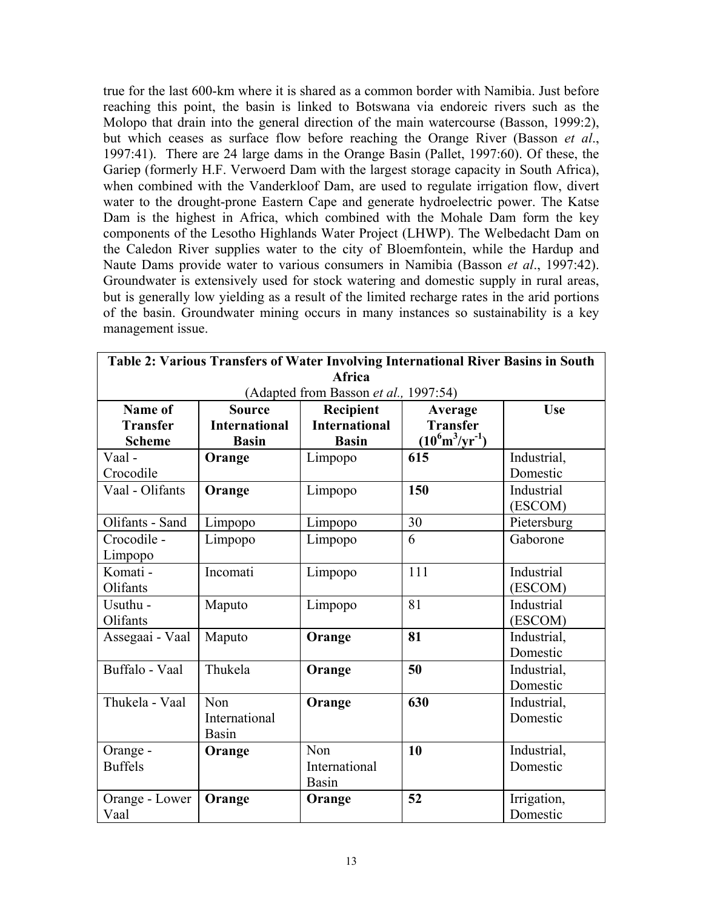true for the last 600-km where it is shared as a common border with Namibia. Just before reaching this point, the basin is linked to Botswana via endoreic rivers such as the Molopo that drain into the general direction of the main watercourse (Basson, 1999:2), but which ceases as surface flow before reaching the Orange River (Basson *et al*., 1997:41). There are 24 large dams in the Orange Basin (Pallet, 1997:60). Of these, the Gariep (formerly H.F. Verwoerd Dam with the largest storage capacity in South Africa), when combined with the Vanderkloof Dam, are used to regulate irrigation flow, divert water to the drought-prone Eastern Cape and generate hydroelectric power. The Katse Dam is the highest in Africa, which combined with the Mohale Dam form the key components of the Lesotho Highlands Water Project (LHWP). The Welbedacht Dam on the Caledon River supplies water to the city of Bloemfontein, while the Hardup and Naute Dams provide water to various consumers in Namibia (Basson *et al*., 1997:42). Groundwater is extensively used for stock watering and domestic supply in rural areas, but is generally low yielding as a result of the limited recharge rates in the arid portions of the basin. Groundwater mining occurs in many instances so sustainability is a key management issue.

|                                       |                      | Table 2: Various Transfers of Water Involving International River Basins in South |                                    |             |  |  |  |  |
|---------------------------------------|----------------------|-----------------------------------------------------------------------------------|------------------------------------|-------------|--|--|--|--|
|                                       |                      | Africa                                                                            |                                    |             |  |  |  |  |
| (Adapted from Basson et al., 1997:54) |                      |                                                                                   |                                    |             |  |  |  |  |
| Name of                               | <b>Source</b>        | Recipient                                                                         | Average                            | <b>Use</b>  |  |  |  |  |
| <b>Transfer</b>                       | <b>International</b> | <b>International</b>                                                              | <b>Transfer</b>                    |             |  |  |  |  |
| <b>Scheme</b>                         | <b>Basin</b>         | <b>Basin</b>                                                                      | $(10^6 \text{m}^3/\text{yr}^{-1})$ |             |  |  |  |  |
| Vaal-                                 | Orange               | Limpopo                                                                           | 615                                | Industrial, |  |  |  |  |
| Crocodile                             |                      |                                                                                   |                                    | Domestic    |  |  |  |  |
| Vaal - Olifants                       | Orange               | Limpopo                                                                           | 150                                | Industrial  |  |  |  |  |
|                                       |                      |                                                                                   |                                    | (ESCOM)     |  |  |  |  |
| Olifants - Sand                       | Limpopo              | Limpopo                                                                           | 30                                 | Pietersburg |  |  |  |  |
| Crocodile -                           | Limpopo              | Limpopo                                                                           | 6                                  | Gaborone    |  |  |  |  |
| Limpopo                               |                      |                                                                                   |                                    |             |  |  |  |  |
| Komati -                              | Incomati             | Limpopo                                                                           | 111                                | Industrial  |  |  |  |  |
| Olifants                              |                      |                                                                                   |                                    | (ESCOM)     |  |  |  |  |
| Usuthu -                              | Maputo               | Limpopo                                                                           | 81                                 | Industrial  |  |  |  |  |
| Olifants                              |                      |                                                                                   |                                    | (ESCOM)     |  |  |  |  |
| Assegaai - Vaal                       | Maputo               | Orange                                                                            | 81                                 | Industrial. |  |  |  |  |
|                                       |                      |                                                                                   |                                    | Domestic    |  |  |  |  |
| Buffalo - Vaal                        | Thukela              | Orange                                                                            | 50                                 | Industrial, |  |  |  |  |
|                                       |                      |                                                                                   |                                    | Domestic    |  |  |  |  |
| Thukela - Vaal                        | Non                  | Orange                                                                            | 630                                | Industrial, |  |  |  |  |
|                                       | International        |                                                                                   |                                    | Domestic    |  |  |  |  |
|                                       | Basin                |                                                                                   |                                    |             |  |  |  |  |
| Orange -                              | Orange               | Non                                                                               | 10                                 | Industrial, |  |  |  |  |
| <b>Buffels</b>                        |                      | International                                                                     |                                    | Domestic    |  |  |  |  |
|                                       |                      | <b>Basin</b>                                                                      |                                    |             |  |  |  |  |
| Orange - Lower                        | Orange               | Orange                                                                            | 52                                 | Irrigation, |  |  |  |  |
| Vaal                                  |                      |                                                                                   |                                    | Domestic    |  |  |  |  |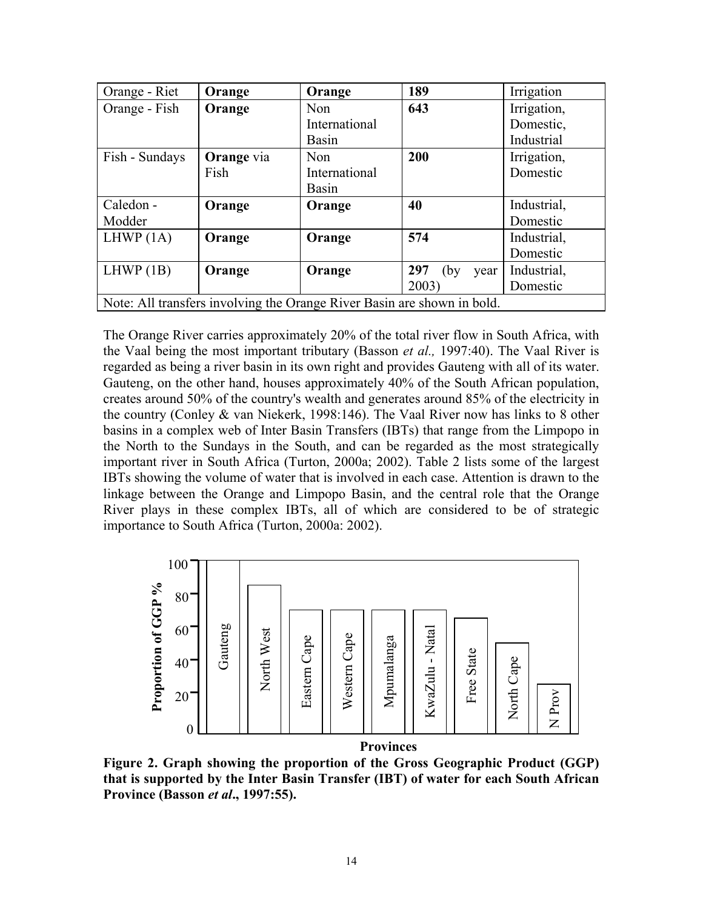| Orange - Riet                                                           | Orange            | Orange        | 189                 | Irrigation  |  |  |  |
|-------------------------------------------------------------------------|-------------------|---------------|---------------------|-------------|--|--|--|
| Orange - Fish                                                           | Orange            | Non           | 643                 | Irrigation, |  |  |  |
|                                                                         |                   | International |                     | Domestic,   |  |  |  |
|                                                                         |                   | <b>Basin</b>  |                     | Industrial  |  |  |  |
| Fish - Sundays                                                          | <b>Orange</b> via | Non           | 200                 | Irrigation, |  |  |  |
|                                                                         | Fish              | International |                     | Domestic    |  |  |  |
|                                                                         |                   | <b>Basin</b>  |                     |             |  |  |  |
| Caledon -                                                               | Orange            | Orange        | 40                  | Industrial, |  |  |  |
| Modder                                                                  |                   |               |                     | Domestic    |  |  |  |
| LHWP $(1A)$                                                             | Orange            | Orange        | 574                 | Industrial, |  |  |  |
|                                                                         |                   |               |                     | Domestic    |  |  |  |
| LHWP(1B)                                                                | Orange            | Orange        | 297<br>(by)<br>year | Industrial, |  |  |  |
|                                                                         |                   |               | 2003                | Domestic    |  |  |  |
| Note: All transfers involving the Orange River Basin are shown in bold. |                   |               |                     |             |  |  |  |

The Orange River carries approximately 20% of the total river flow in South Africa, with the Vaal being the most important tributary (Basson *et al.,* 1997:40). The Vaal River is regarded as being a river basin in its own right and provides Gauteng with all of its water. Gauteng, on the other hand, houses approximately 40% of the South African population, creates around 50% of the country's wealth and generates around 85% of the electricity in the country (Conley & van Niekerk, 1998:146). The Vaal River now has links to 8 other basins in a complex web of Inter Basin Transfers (IBTs) that range from the Limpopo in the North to the Sundays in the South, and can be regarded as the most strategically important river in South Africa (Turton, 2000a; 2002). Table 2 lists some of the largest IBTs showing the volume of water that is involved in each case. Attention is drawn to the linkage between the Orange and Limpopo Basin, and the central role that the Orange River plays in these complex IBTs, all of which are considered to be of strategic importance to South Africa (Turton, 2000a: 2002).



**Figure 2. Graph showing the proportion of the Gross Geographic Product (GGP) that is supported by the Inter Basin Transfer (IBT) of water for each South African Province (Basson** *et al***., 1997:55).**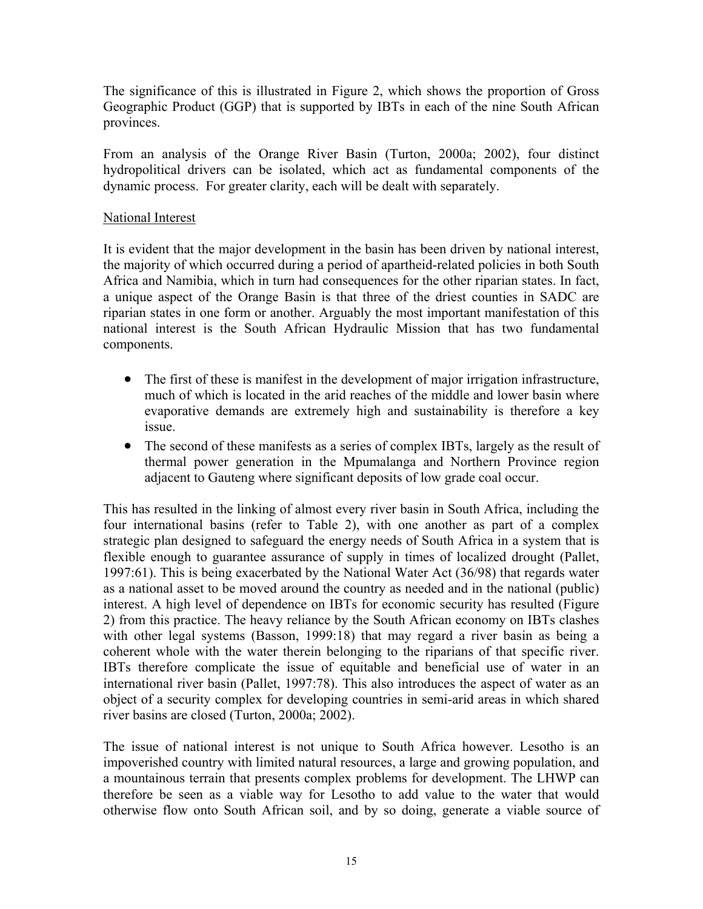The significance of this is illustrated in Figure 2, which shows the proportion of Gross Geographic Product (GGP) that is supported by IBTs in each of the nine South African provinces.

From an analysis of the Orange River Basin (Turton, 2000a; 2002), four distinct hydropolitical drivers can be isolated, which act as fundamental components of the dynamic process. For greater clarity, each will be dealt with separately.

## National Interest

It is evident that the major development in the basin has been driven by national interest, the majority of which occurred during a period of apartheid-related policies in both South Africa and Namibia, which in turn had consequences for the other riparian states. In fact, a unique aspect of the Orange Basin is that three of the driest counties in SADC are riparian states in one form or another. Arguably the most important manifestation of this national interest is the South African Hydraulic Mission that has two fundamental components.

- The first of these is manifest in the development of major irrigation infrastructure, much of which is located in the arid reaches of the middle and lower basin where evaporative demands are extremely high and sustainability is therefore a key issue.
- $\bullet$ The second of these manifests as a series of complex IBTs, largely as the result of thermal power generation in the Mpumalanga and Northern Province region adjacent to Gauteng where significant deposits of low grade coal occur.

This has resulted in the linking of almost every river basin in South Africa, including the four international basins (refer to Table 2), with one another as part of a complex strategic plan designed to safeguard the energy needs of South Africa in a system that is flexible enough to guarantee assurance of supply in times of localized drought (Pallet, 1997:61). This is being exacerbated by the National Water Act (36/98) that regards water as a national asset to be moved around the country as needed and in the national (public) interest. A high level of dependence on IBTs for economic security has resulted (Figure 2) from this practice. The heavy reliance by the South African economy on IBTs clashes with other legal systems (Basson, 1999:18) that may regard a river basin as being a coherent whole with the water therein belonging to the riparians of that specific river. IBTs therefore complicate the issue of equitable and beneficial use of water in an international river basin (Pallet, 1997:78). This also introduces the aspect of water as an object of a security complex for developing countries in semi-arid areas in which shared river basins are closed (Turton, 2000a; 2002).

The issue of national interest is not unique to South Africa however. Lesotho is an impoverished country with limited natural resources, a large and growing population, and a mountainous terrain that presents complex problems for development. The LHWP can therefore be seen as a viable way for Lesotho to add value to the water that would otherwise flow onto South African soil, and by so doing, generate a viable source of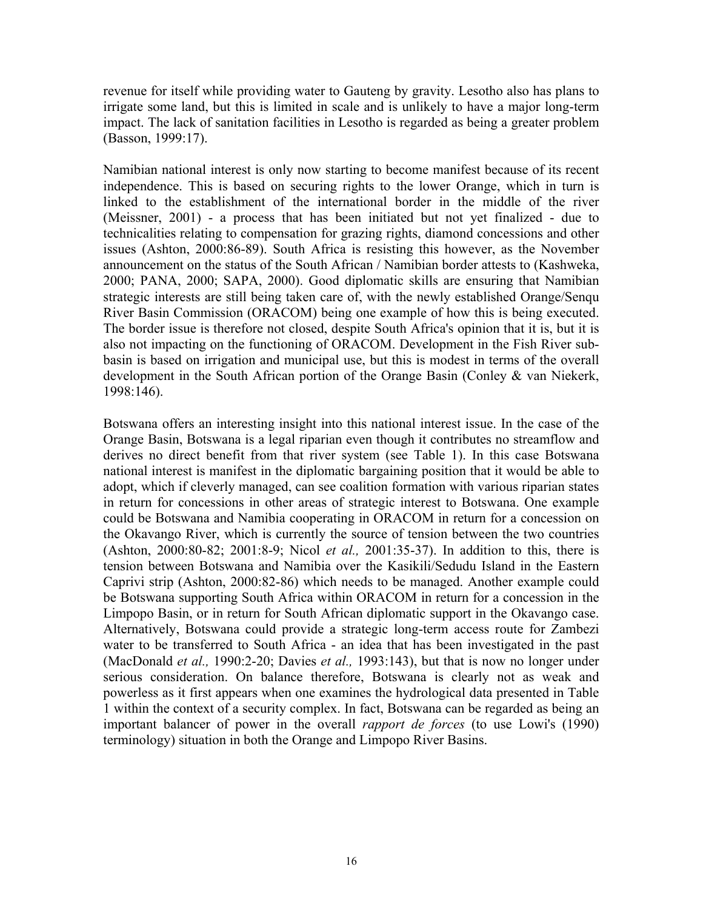revenue for itself while providing water to Gauteng by gravity. Lesotho also has plans to irrigate some land, but this is limited in scale and is unlikely to have a major long-term impact. The lack of sanitation facilities in Lesotho is regarded as being a greater problem (Basson, 1999:17).

Namibian national interest is only now starting to become manifest because of its recent independence. This is based on securing rights to the lower Orange, which in turn is linked to the establishment of the international border in the middle of the river (Meissner, 2001) - a process that has been initiated but not yet finalized - due to technicalities relating to compensation for grazing rights, diamond concessions and other issues (Ashton, 2000:86-89). South Africa is resisting this however, as the November announcement on the status of the South African / Namibian border attests to (Kashweka, 2000; PANA, 2000; SAPA, 2000). Good diplomatic skills are ensuring that Namibian strategic interests are still being taken care of, with the newly established Orange/Senqu River Basin Commission (ORACOM) being one example of how this is being executed. The border issue is therefore not closed, despite South Africa's opinion that it is, but it is also not impacting on the functioning of ORACOM. Development in the Fish River subbasin is based on irrigation and municipal use, but this is modest in terms of the overall development in the South African portion of the Orange Basin (Conley & van Niekerk, 1998:146).

Botswana offers an interesting insight into this national interest issue. In the case of the Orange Basin, Botswana is a legal riparian even though it contributes no streamflow and derives no direct benefit from that river system (see Table 1). In this case Botswana national interest is manifest in the diplomatic bargaining position that it would be able to adopt, which if cleverly managed, can see coalition formation with various riparian states in return for concessions in other areas of strategic interest to Botswana. One example could be Botswana and Namibia cooperating in ORACOM in return for a concession on the Okavango River, which is currently the source of tension between the two countries (Ashton, 2000:80-82; 2001:8-9; Nicol *et al.,* 2001:35-37). In addition to this, there is tension between Botswana and Namibia over the Kasikili/Sedudu Island in the Eastern Caprivi strip (Ashton, 2000:82-86) which needs to be managed. Another example could be Botswana supporting South Africa within ORACOM in return for a concession in the Limpopo Basin, or in return for South African diplomatic support in the Okavango case. Alternatively, Botswana could provide a strategic long-term access route for Zambezi water to be transferred to South Africa - an idea that has been investigated in the past (MacDonald *et al.,* 1990:2-20; Davies *et al.,* 1993:143), but that is now no longer under serious consideration. On balance therefore, Botswana is clearly not as weak and powerless as it first appears when one examines the hydrological data presented in Table 1 within the context of a security complex. In fact, Botswana can be regarded as being an important balancer of power in the overall *rapport de forces* (to use Lowi's (1990) terminology) situation in both the Orange and Limpopo River Basins.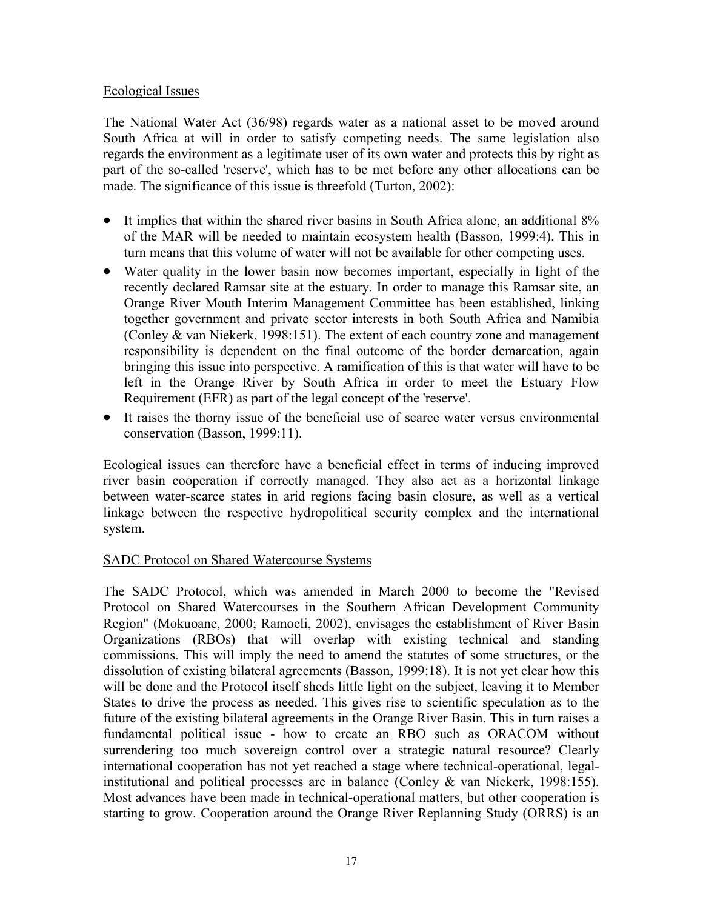## Ecological Issues

The National Water Act (36/98) regards water as a national asset to be moved around South Africa at will in order to satisfy competing needs. The same legislation also regards the environment as a legitimate user of its own water and protects this by right as part of the so-called 'reserve', which has to be met before any other allocations can be made. The significance of this issue is threefold (Turton, 2002):

- It implies that within the shared river basins in South Africa alone, an additional 8% of the MAR will be needed to maintain ecosystem health (Basson, 1999:4). This in turn means that this volume of water will not be available for other competing uses.
- Water quality in the lower basin now becomes important, especially in light of the recently declared Ramsar site at the estuary. In order to manage this Ramsar site, an Orange River Mouth Interim Management Committee has been established, linking together government and private sector interests in both South Africa and Namibia (Conley & van Niekerk, 1998:151). The extent of each country zone and management responsibility is dependent on the final outcome of the border demarcation, again bringing this issue into perspective. A ramification of this is that water will have to be left in the Orange River by South Africa in order to meet the Estuary Flow Requirement (EFR) as part of the legal concept of the 'reserve'.
- It raises the thorny issue of the beneficial use of scarce water versus environmental conservation (Basson, 1999:11).

Ecological issues can therefore have a beneficial effect in terms of inducing improved river basin cooperation if correctly managed. They also act as a horizontal linkage between water-scarce states in arid regions facing basin closure, as well as a vertical linkage between the respective hydropolitical security complex and the international system.

## SADC Protocol on Shared Watercourse Systems

The SADC Protocol, which was amended in March 2000 to become the "Revised Protocol on Shared Watercourses in the Southern African Development Community Region" (Mokuoane, 2000; Ramoeli, 2002), envisages the establishment of River Basin Organizations (RBOs) that will overlap with existing technical and standing commissions. This will imply the need to amend the statutes of some structures, or the dissolution of existing bilateral agreements (Basson, 1999:18). It is not yet clear how this will be done and the Protocol itself sheds little light on the subject, leaving it to Member States to drive the process as needed. This gives rise to scientific speculation as to the future of the existing bilateral agreements in the Orange River Basin. This in turn raises a fundamental political issue - how to create an RBO such as ORACOM without surrendering too much sovereign control over a strategic natural resource? Clearly international cooperation has not yet reached a stage where technical-operational, legalinstitutional and political processes are in balance (Conley & van Niekerk, 1998:155). Most advances have been made in technical-operational matters, but other cooperation is starting to grow. Cooperation around the Orange River Replanning Study (ORRS) is an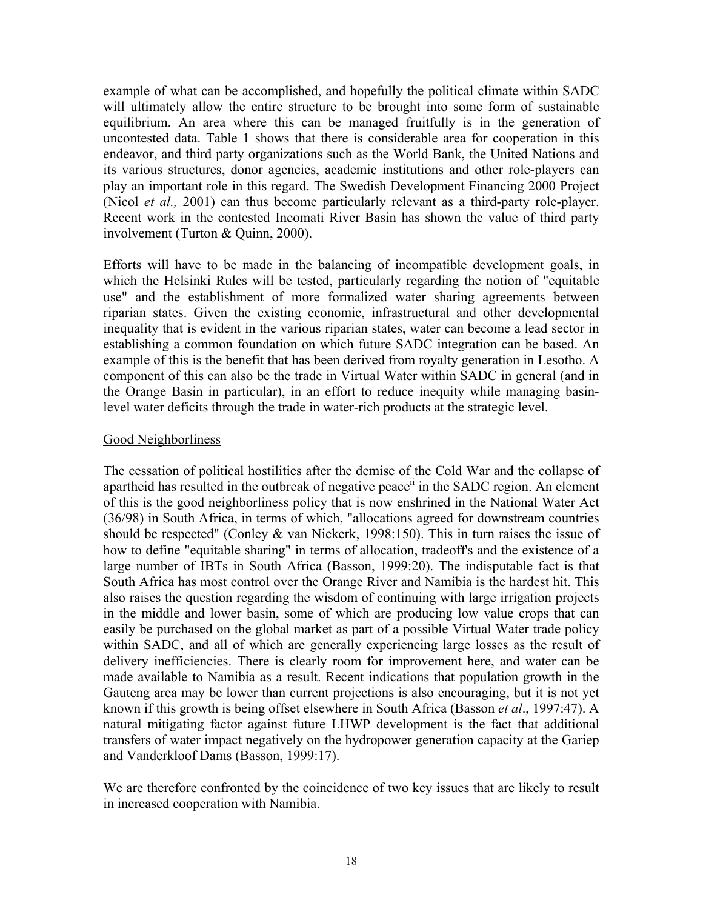example of what can be accomplished, and hopefully the political climate within SADC will ultimately allow the entire structure to be brought into some form of sustainable equilibrium. An area where this can be managed fruitfully is in the generation of uncontested data. Table 1 shows that there is considerable area for cooperation in this endeavor, and third party organizations such as the World Bank, the United Nations and its various structures, donor agencies, academic institutions and other role-players can play an important role in this regard. The Swedish Development Financing 2000 Project (Nicol *et al.,* 2001) can thus become particularly relevant as a third-party role-player. Recent work in the contested Incomati River Basin has shown the value of third party involvement (Turton & Quinn, 2000).

Efforts will have to be made in the balancing of incompatible development goals, in which the Helsinki Rules will be tested, particularly regarding the notion of "equitable use" and the establishment of more formalized water sharing agreements between riparian states. Given the existing economic, infrastructural and other developmental inequality that is evident in the various riparian states, water can become a lead sector in establishing a common foundation on which future SADC integration can be based. An example of this is the benefit that has been derived from royalty generation in Lesotho. A component of this can also be the trade in Virtual Water within SADC in general (and in the Orange Basin in particular), in an effort to reduce inequity while managing basinlevel water deficits through the trade in water-rich products at the strategic level.

### Good Neighborliness

The cessation of political hostilities after the demise of the Cold War and the collapse of apartheid has resulted in the outbreak of negative peace<sup> $\ddot{u}$ </sup> in the SADC region. An element of this is the good neighborliness policy that is now enshrined in the National Water Act (36/98) in South Africa, in terms of which, "allocations agreed for downstream countries should be respected" (Conley & van Niekerk, 1998:150). This in turn raises the issue of how to define "equitable sharing" in terms of allocation, tradeoff's and the existence of a large number of IBTs in South Africa (Basson, 1999:20). The indisputable fact is that South Africa has most control over the Orange River and Namibia is the hardest hit. This also raises the question regarding the wisdom of continuing with large irrigation projects in the middle and lower basin, some of which are producing low value crops that can easily be purchased on the global market as part of a possible Virtual Water trade policy within SADC, and all of which are generally experiencing large losses as the result of delivery inefficiencies. There is clearly room for improvement here, and water can be made available to Namibia as a result. Recent indications that population growth in the Gauteng area may be lower than current projections is also encouraging, but it is not yet known if this growth is being offset elsewhere in South Africa (Basson *et al*., 1997:47). A natural mitigating factor against future LHWP development is the fact that additional transfers of water impact negatively on the hydropower generation capacity at the Gariep and Vanderkloof Dams (Basson, 1999:17).

We are therefore confronted by the coincidence of two key issues that are likely to result in increased cooperation with Namibia.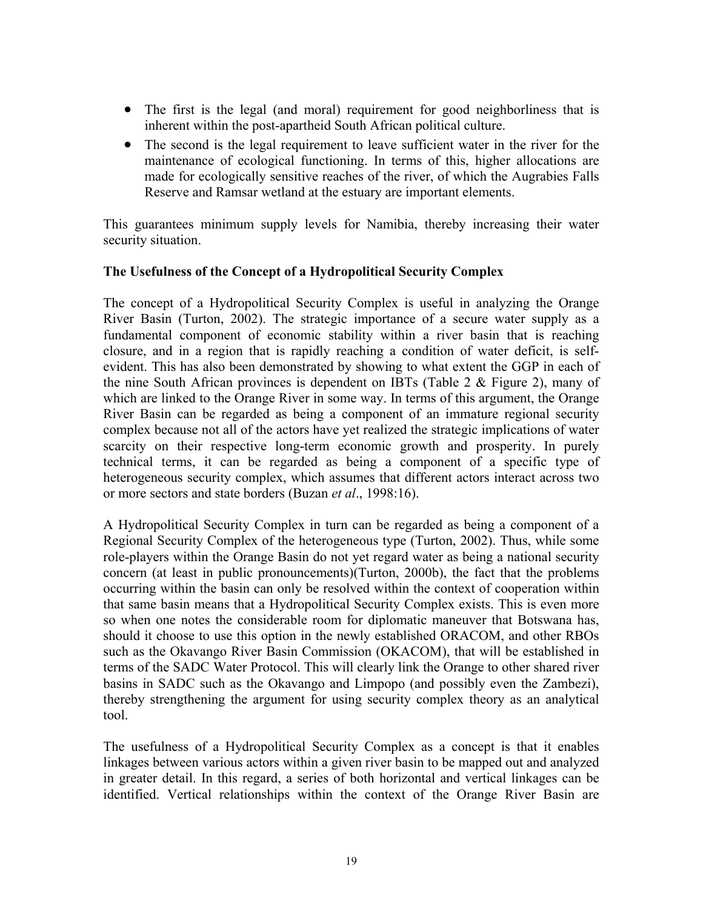- The first is the legal (and moral) requirement for good neighborliness that is inherent within the post-apartheid South African political culture.
- The second is the legal requirement to leave sufficient water in the river for the maintenance of ecological functioning. In terms of this, higher allocations are made for ecologically sensitive reaches of the river, of which the Augrabies Falls Reserve and Ramsar wetland at the estuary are important elements.

This guarantees minimum supply levels for Namibia, thereby increasing their water security situation.

### **The Usefulness of the Concept of a Hydropolitical Security Complex**

The concept of a Hydropolitical Security Complex is useful in analyzing the Orange River Basin (Turton, 2002). The strategic importance of a secure water supply as a fundamental component of economic stability within a river basin that is reaching closure, and in a region that is rapidly reaching a condition of water deficit, is selfevident. This has also been demonstrated by showing to what extent the GGP in each of the nine South African provinces is dependent on IBTs (Table 2 & Figure 2), many of which are linked to the Orange River in some way. In terms of this argument, the Orange River Basin can be regarded as being a component of an immature regional security complex because not all of the actors have yet realized the strategic implications of water scarcity on their respective long-term economic growth and prosperity. In purely technical terms, it can be regarded as being a component of a specific type of heterogeneous security complex, which assumes that different actors interact across two or more sectors and state borders (Buzan *et al*., 1998:16).

A Hydropolitical Security Complex in turn can be regarded as being a component of a Regional Security Complex of the heterogeneous type (Turton, 2002). Thus, while some role-players within the Orange Basin do not yet regard water as being a national security concern (at least in public pronouncements)(Turton, 2000b), the fact that the problems occurring within the basin can only be resolved within the context of cooperation within that same basin means that a Hydropolitical Security Complex exists. This is even more so when one notes the considerable room for diplomatic maneuver that Botswana has, should it choose to use this option in the newly established ORACOM, and other RBOs such as the Okavango River Basin Commission (OKACOM), that will be established in terms of the SADC Water Protocol. This will clearly link the Orange to other shared river basins in SADC such as the Okavango and Limpopo (and possibly even the Zambezi), thereby strengthening the argument for using security complex theory as an analytical tool.

The usefulness of a Hydropolitical Security Complex as a concept is that it enables linkages between various actors within a given river basin to be mapped out and analyzed in greater detail. In this regard, a series of both horizontal and vertical linkages can be identified. Vertical relationships within the context of the Orange River Basin are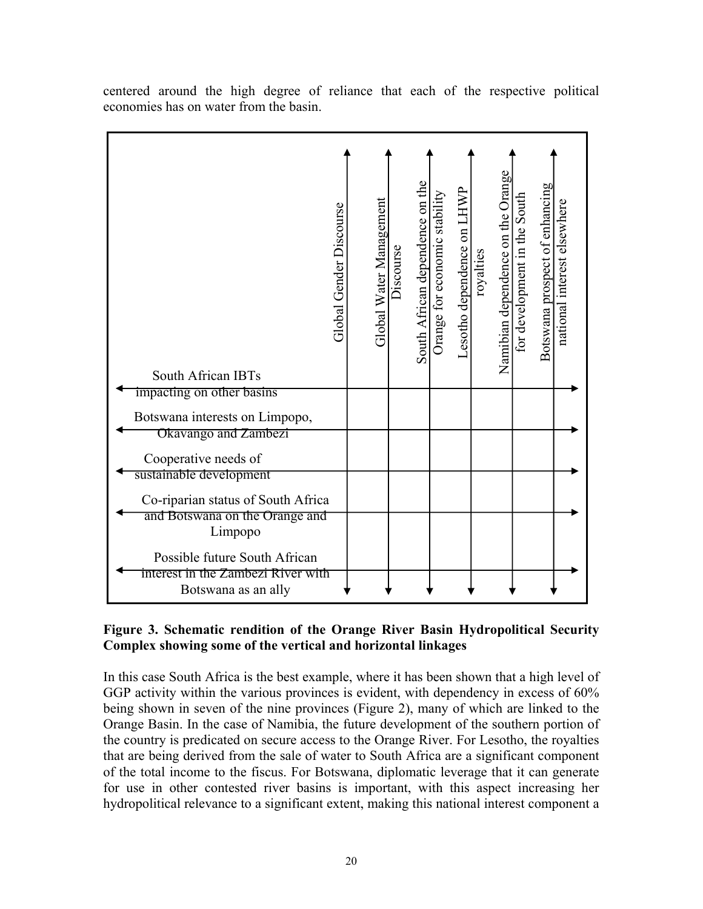| South African IBTs                                                  | Global Gender Discourse | Global Water Management | Discourse | South African dependence on the | Orange for economic stability | Lesotho dependence on LHWP | royalties | Namibian dependence on the Orange | for development in the South | Botswana prospect of enhancing | national interest elsewhere |
|---------------------------------------------------------------------|-------------------------|-------------------------|-----------|---------------------------------|-------------------------------|----------------------------|-----------|-----------------------------------|------------------------------|--------------------------------|-----------------------------|
| impacting on other basins<br>Botswana interests on Limpopo,         |                         |                         |           |                                 |                               |                            |           |                                   |                              |                                |                             |
| Okavango and Zambezi                                                |                         |                         |           |                                 |                               |                            |           |                                   |                              |                                |                             |
| Cooperative needs of                                                |                         |                         |           |                                 |                               |                            |           |                                   |                              |                                |                             |
| sustainable development                                             |                         |                         |           |                                 |                               |                            |           |                                   |                              |                                |                             |
| Co-riparian status of South Africa                                  |                         |                         |           |                                 |                               |                            |           |                                   |                              |                                |                             |
| and Botswana on the Orange and                                      |                         |                         |           |                                 |                               |                            |           |                                   |                              |                                |                             |
| Limpopo                                                             |                         |                         |           |                                 |                               |                            |           |                                   |                              |                                |                             |
| Possible future South African<br>interest in the Zambezi River with |                         |                         |           |                                 |                               |                            |           |                                   |                              |                                |                             |
| Botswana as an ally                                                 |                         |                         |           |                                 |                               |                            |           |                                   |                              |                                |                             |

centered around the high degree of reliance that each of the respective political economies has on water from the basin.

# **Figure 3. Schematic rendition of the Orange River Basin Hydropolitical Security Complex showing some of the vertical and horizontal linkages**

In this case South Africa is the best example, where it has been shown that a high level of GGP activity within the various provinces is evident, with dependency in excess of 60% being shown in seven of the nine provinces (Figure 2), many of which are linked to the Orange Basin. In the case of Namibia, the future development of the southern portion of the country is predicated on secure access to the Orange River. For Lesotho, the royalties that are being derived from the sale of water to South Africa are a significant component of the total income to the fiscus. For Botswana, diplomatic leverage that it can generate for use in other contested river basins is important, with this aspect increasing her hydropolitical relevance to a significant extent, making this national interest component a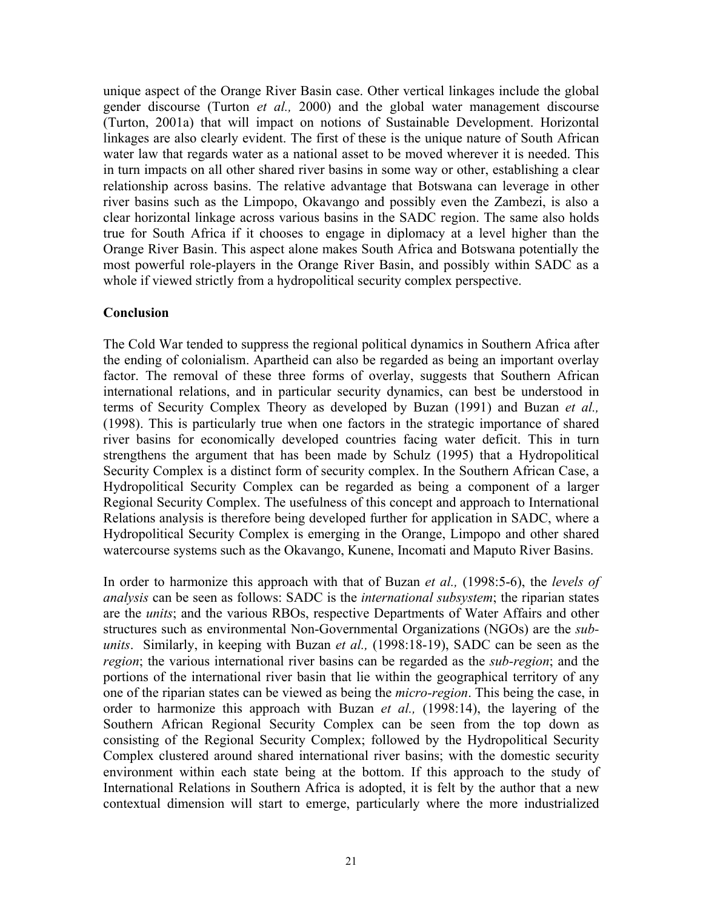unique aspect of the Orange River Basin case. Other vertical linkages include the global gender discourse (Turton *et al.,* 2000) and the global water management discourse (Turton, 2001a) that will impact on notions of Sustainable Development. Horizontal linkages are also clearly evident. The first of these is the unique nature of South African water law that regards water as a national asset to be moved wherever it is needed. This in turn impacts on all other shared river basins in some way or other, establishing a clear relationship across basins. The relative advantage that Botswana can leverage in other river basins such as the Limpopo, Okavango and possibly even the Zambezi, is also a clear horizontal linkage across various basins in the SADC region. The same also holds true for South Africa if it chooses to engage in diplomacy at a level higher than the Orange River Basin. This aspect alone makes South Africa and Botswana potentially the most powerful role-players in the Orange River Basin, and possibly within SADC as a whole if viewed strictly from a hydropolitical security complex perspective.

### **Conclusion**

The Cold War tended to suppress the regional political dynamics in Southern Africa after the ending of colonialism. Apartheid can also be regarded as being an important overlay factor. The removal of these three forms of overlay, suggests that Southern African international relations, and in particular security dynamics, can best be understood in terms of Security Complex Theory as developed by Buzan (1991) and Buzan *et al.,* (1998). This is particularly true when one factors in the strategic importance of shared river basins for economically developed countries facing water deficit. This in turn strengthens the argument that has been made by Schulz (1995) that a Hydropolitical Security Complex is a distinct form of security complex. In the Southern African Case, a Hydropolitical Security Complex can be regarded as being a component of a larger Regional Security Complex. The usefulness of this concept and approach to International Relations analysis is therefore being developed further for application in SADC, where a Hydropolitical Security Complex is emerging in the Orange, Limpopo and other shared watercourse systems such as the Okavango, Kunene, Incomati and Maputo River Basins.

In order to harmonize this approach with that of Buzan *et al.,* (1998:5-6), the *levels of analysis* can be seen as follows: SADC is the *international subsystem*; the riparian states are the *units*; and the various RBOs, respective Departments of Water Affairs and other structures such as environmental Non-Governmental Organizations (NGOs) are the *subunits*. Similarly, in keeping with Buzan *et al.,* (1998:18-19), SADC can be seen as the *region*; the various international river basins can be regarded as the *sub-region*; and the portions of the international river basin that lie within the geographical territory of any one of the riparian states can be viewed as being the *micro-region*. This being the case, in order to harmonize this approach with Buzan *et al.,* (1998:14), the layering of the Southern African Regional Security Complex can be seen from the top down as consisting of the Regional Security Complex; followed by the Hydropolitical Security Complex clustered around shared international river basins; with the domestic security environment within each state being at the bottom. If this approach to the study of International Relations in Southern Africa is adopted, it is felt by the author that a new contextual dimension will start to emerge, particularly where the more industrialized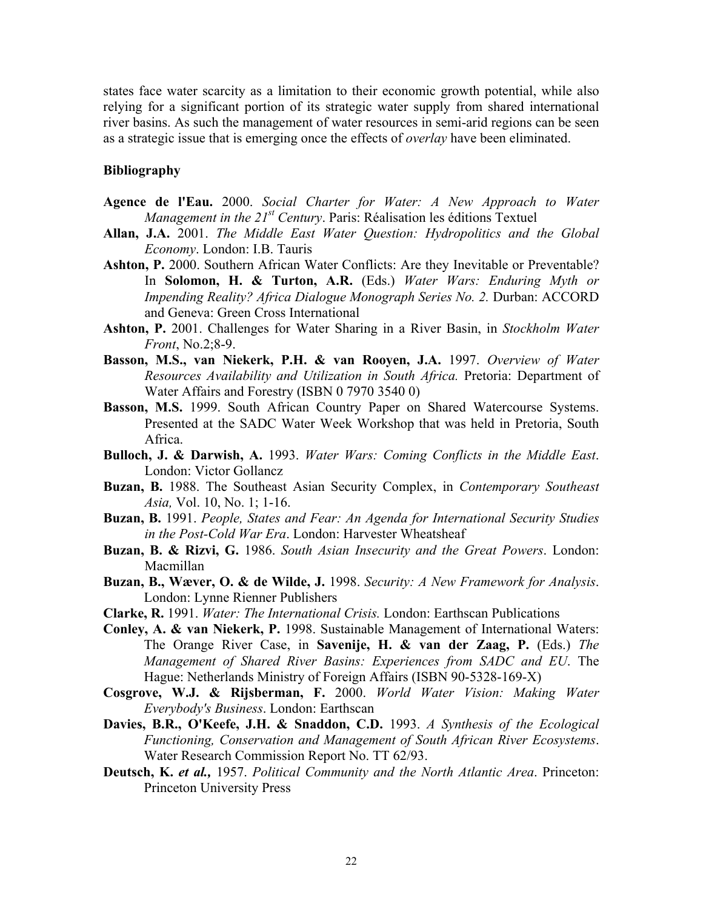states face water scarcity as a limitation to their economic growth potential, while also relying for a significant portion of its strategic water supply from shared international river basins. As such the management of water resources in semi-arid regions can be seen as a strategic issue that is emerging once the effects of *overlay* have been eliminated.

#### **Bibliography**

- **Agence de l'Eau.** 2000. *Social Charter for Water: A New Approach to Water Management in the 21<sup>st</sup> Century*. Paris: Réalisation les éditions Textuel
- **Allan, J.A.** 2001. *The Middle East Water Question: Hydropolitics and the Global Economy*. London: I.B. Tauris
- Ashton, P. 2000. Southern African Water Conflicts: Are they Inevitable or Preventable? In **Solomon, H. & Turton, A.R.** (Eds.) *Water Wars: Enduring Myth or Impending Reality? Africa Dialogue Monograph Series No. 2.* Durban: ACCORD and Geneva: Green Cross International
- **Ashton, P.** 2001. Challenges for Water Sharing in a River Basin, in *Stockholm Water Front*, No.2;8-9.
- **Basson, M.S., van Niekerk, P.H. & van Rooyen, J.A.** 1997. *Overview of Water Resources Availability and Utilization in South Africa.* Pretoria: Department of Water Affairs and Forestry (ISBN 0 7970 3540 0)
- **Basson, M.S.** 1999. South African Country Paper on Shared Watercourse Systems. Presented at the SADC Water Week Workshop that was held in Pretoria, South Africa.
- **Bulloch, J. & Darwish, A.** 1993. *Water Wars: Coming Conflicts in the Middle East*. London: Victor Gollancz
- **Buzan, B.** 1988. The Southeast Asian Security Complex, in *Contemporary Southeast Asia,* Vol. 10, No. 1; 1-16.
- **Buzan, B.** 1991. *People, States and Fear: An Agenda for International Security Studies in the Post-Cold War Era*. London: Harvester Wheatsheaf
- **Buzan, B. & Rizvi, G.** 1986. *South Asian Insecurity and the Great Powers*. London: Macmillan
- **Buzan, B., Wæver, O. & de Wilde, J.** 1998. *Security: A New Framework for Analysis*. London: Lynne Rienner Publishers
- **Clarke, R.** 1991. *Water: The International Crisis.* London: Earthscan Publications
- **Conley, A. & van Niekerk, P.** 1998. Sustainable Management of International Waters: The Orange River Case, in **Savenije, H. & van der Zaag, P.** (Eds.) *The Management of Shared River Basins: Experiences from SADC and EU*. The Hague: Netherlands Ministry of Foreign Affairs (ISBN 90-5328-169-X)
- **Cosgrove, W.J. & Rijsberman, F.** 2000. *World Water Vision: Making Water Everybody's Business*. London: Earthscan
- **Davies, B.R., O'Keefe, J.H. & Snaddon, C.D.** 1993. *A Synthesis of the Ecological Functioning, Conservation and Management of South African River Ecosystems*. Water Research Commission Report No. TT 62/93.
- **Deutsch, K.** *et al.,* 1957. *Political Community and the North Atlantic Area*. Princeton: Princeton University Press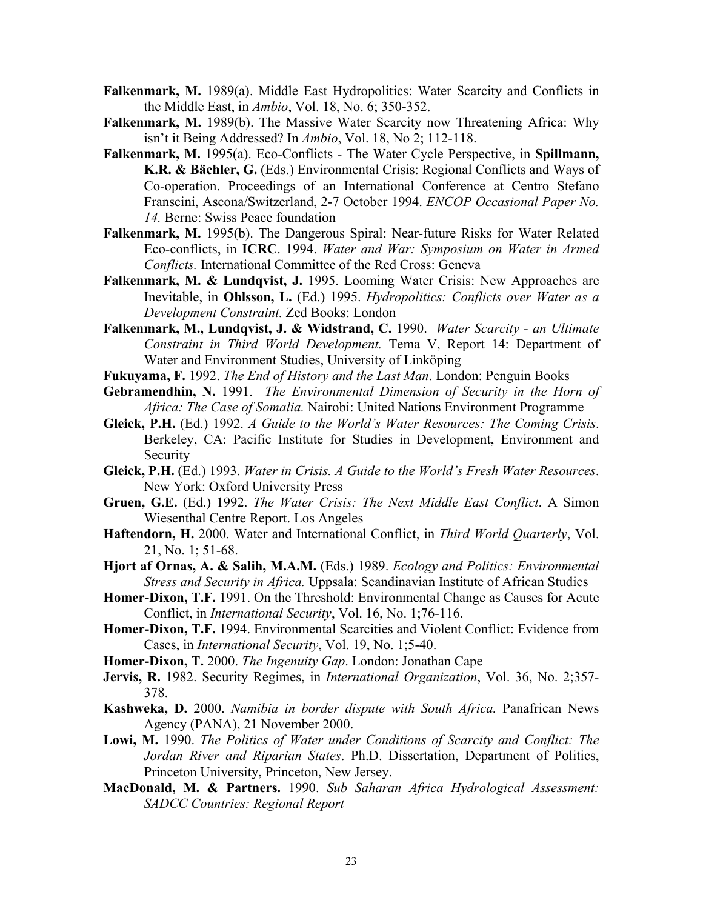- **Falkenmark, M.** 1989(a). Middle East Hydropolitics: Water Scarcity and Conflicts in the Middle East, in *Ambio*, Vol. 18, No. 6; 350-352.
- **Falkenmark, M.** 1989(b). The Massive Water Scarcity now Threatening Africa: Why isn't it Being Addressed? In *Ambio*, Vol. 18, No 2; 112-118.
- **Falkenmark, M.** 1995(a). Eco-Conflicts The Water Cycle Perspective, in **Spillmann,**  K.R. & Bächler, G. (Eds.) Environmental Crisis: Regional Conflicts and Ways of Co-operation. Proceedings of an International Conference at Centro Stefano Franscini, Ascona/Switzerland, 2-7 October 1994. *ENCOP Occasional Paper No. 14.* Berne: Swiss Peace foundation
- **Falkenmark, M.** 1995(b). The Dangerous Spiral: Near-future Risks for Water Related Eco-conflicts, in **ICRC**. 1994. *Water and War: Symposium on Water in Armed Conflicts.* International Committee of the Red Cross: Geneva
- Falkenmark, M. & Lundqvist, J. 1995. Looming Water Crisis: New Approaches are Inevitable, in **Ohlsson, L.** (Ed.) 1995. *Hydropolitics: Conflicts over Water as a Development Constraint.* Zed Books: London
- **Falkenmark, M., Lundqvist, J. & Widstrand, C.** 1990. *Water Scarcity an Ultimate Constraint in Third World Development.* Tema V, Report 14: Department of Water and Environment Studies, University of Linköping
- **Fukuyama, F.** 1992. *The End of History and the Last Man*. London: Penguin Books
- **Gebramendhin, N.** 1991. *The Environmental Dimension of Security in the Horn of Africa: The Case of Somalia.* Nairobi: United Nations Environment Programme
- **Gleick, P.H.** (Ed.) 1992. *A Guide to the World's Water Resources: The Coming Crisis*. Berkeley, CA: Pacific Institute for Studies in Development, Environment and Security
- **Gleick, P.H.** (Ed.) 1993. *Water in Crisis. A Guide to the World's Fresh Water Resources*. New York: Oxford University Press
- **Gruen, G.E.** (Ed.) 1992. *The Water Crisis: The Next Middle East Conflict*. A Simon Wiesenthal Centre Report. Los Angeles
- **Haftendorn, H.** 2000. Water and International Conflict, in *Third World Quarterly*, Vol. 21, No. 1; 51-68.
- **Hjort af Ornas, A. & Salih, M.A.M.** (Eds.) 1989. *Ecology and Politics: Environmental Stress and Security in Africa.* Uppsala: Scandinavian Institute of African Studies
- **Homer-Dixon, T.F.** 1991. On the Threshold: Environmental Change as Causes for Acute Conflict, in *International Security*, Vol. 16, No. 1;76-116.
- **Homer-Dixon, T.F.** 1994. Environmental Scarcities and Violent Conflict: Evidence from Cases, in *International Security*, Vol. 19, No. 1;5-40.
- **Homer-Dixon, T.** 2000. *The Ingenuity Gap*. London: Jonathan Cape
- **Jervis, R.** 1982. Security Regimes, in *International Organization*, Vol. 36, No. 2;357- 378.
- **Kashweka, D.** 2000. *Namibia in border dispute with South Africa.* Panafrican News Agency (PANA), 21 November 2000.
- **Lowi, M.** 1990. *The Politics of Water under Conditions of Scarcity and Conflict: The Jordan River and Riparian States*. Ph.D. Dissertation, Department of Politics, Princeton University, Princeton, New Jersey.
- **MacDonald, M. & Partners.** 1990. *Sub Saharan Africa Hydrological Assessment: SADCC Countries: Regional Report*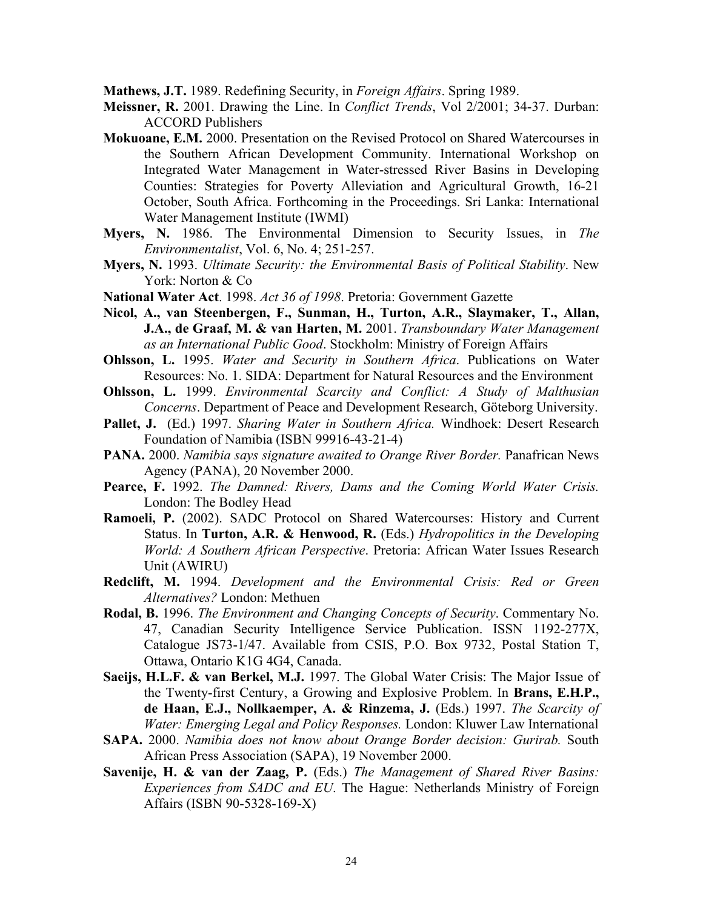**Mathews, J.T.** 1989. Redefining Security, in *Foreign Affairs*. Spring 1989.

- **Meissner, R.** 2001. Drawing the Line. In *Conflict Trends*, Vol 2/2001; 34-37. Durban: ACCORD Publishers
- **Mokuoane, E.M.** 2000. Presentation on the Revised Protocol on Shared Watercourses in the Southern African Development Community. International Workshop on Integrated Water Management in Water-stressed River Basins in Developing Counties: Strategies for Poverty Alleviation and Agricultural Growth, 16-21 October, South Africa. Forthcoming in the Proceedings. Sri Lanka: International Water Management Institute (IWMI)
- **Myers, N.** 1986. The Environmental Dimension to Security Issues, in *The Environmentalist*, Vol. 6, No. 4; 251-257.
- **Myers, N.** 1993. *Ultimate Security: the Environmental Basis of Political Stability*. New York: Norton & Co
- **National Water Act**. 1998. *Act 36 of 1998*. Pretoria: Government Gazette
- **Nicol, A., van Steenbergen, F., Sunman, H., Turton, A.R., Slaymaker, T., Allan, J.A., de Graaf, M. & van Harten, M.** 2001. *Transboundary Water Management as an International Public Good*. Stockholm: Ministry of Foreign Affairs
- **Ohlsson, L.** 1995. *Water and Security in Southern Africa*. Publications on Water Resources: No. 1. SIDA: Department for Natural Resources and the Environment
- **Ohlsson, L.** 1999. *Environmental Scarcity and Conflict: A Study of Malthusian Concerns*. Department of Peace and Development Research, Göteborg University.
- **Pallet, J.** (Ed.) 1997. *Sharing Water in Southern Africa.* Windhoek: Desert Research Foundation of Namibia (ISBN 99916-43-21-4)
- **PANA.** 2000. *Namibia says signature awaited to Orange River Border.* Panafrican News Agency (PANA), 20 November 2000.
- **Pearce, F.** 1992. *The Damned: Rivers, Dams and the Coming World Water Crisis.*  London: The Bodley Head
- **Ramoeli, P.** (2002). SADC Protocol on Shared Watercourses: History and Current Status. In **Turton, A.R. & Henwood, R.** (Eds.) *Hydropolitics in the Developing World: A Southern African Perspective*. Pretoria: African Water Issues Research Unit (AWIRU)
- **Redclift, M.** 1994. *Development and the Environmental Crisis: Red or Green Alternatives?* London: Methuen
- **Rodal, B.** 1996. *The Environment and Changing Concepts of Security*. Commentary No. 47, Canadian Security Intelligence Service Publication. ISSN 1192-277X, Catalogue JS73-1/47. Available from CSIS, P.O. Box 9732, Postal Station T, Ottawa, Ontario K1G 4G4, Canada.
- **Saeijs, H.L.F. & van Berkel, M.J.** 1997. The Global Water Crisis: The Major Issue of the Twenty-first Century, a Growing and Explosive Problem. In **Brans, E.H.P., de Haan, E.J., Nollkaemper, A. & Rinzema, J.** (Eds.) 1997. *The Scarcity of Water: Emerging Legal and Policy Responses.* London: Kluwer Law International
- **SAPA.** 2000. *Namibia does not know about Orange Border decision: Gurirab.* South African Press Association (SAPA), 19 November 2000.
- **Savenije, H. & van der Zaag, P.** (Eds.) *The Management of Shared River Basins: Experiences from SADC and EU*. The Hague: Netherlands Ministry of Foreign Affairs (ISBN 90-5328-169-X)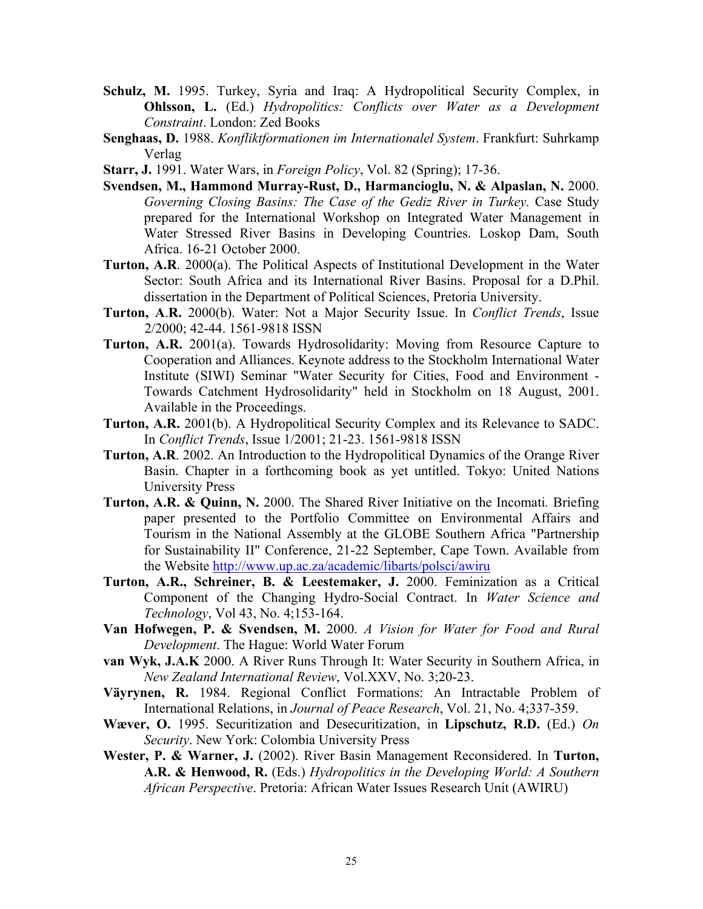- **Schulz, M.** 1995. Turkey, Syria and Iraq: A Hydropolitical Security Complex, in **Ohlsson, L.** (Ed.) *Hydropolitics: Conflicts over Water as a Development Constraint*. London: Zed Books
- **Senghaas, D.** 1988. *Konfliktformationen im Internationalel System*. Frankfurt: Suhrkamp Verlag
- **Starr, J.** 1991. Water Wars, in *Foreign Policy*, Vol. 82 (Spring); 17-36.
- **Svendsen, M., Hammond Murray-Rust, D., Harmancioglu, N. & Alpaslan, N.** 2000. *Governing Closing Basins: The Case of the Gediz River in Turkey.* Case Study prepared for the International Workshop on Integrated Water Management in Water Stressed River Basins in Developing Countries. Loskop Dam, South Africa. 16-21 October 2000.
- **Turton, A.R**. 2000(a). The Political Aspects of Institutional Development in the Water Sector: South Africa and its International River Basins. Proposal for a D.Phil. dissertation in the Department of Political Sciences, Pretoria University.
- **Turton, A**.**R.** 2000(b). Water: Not a Major Security Issue. In *Conflict Trends*, Issue 2/2000; 42-44. 1561-9818 ISSN
- **Turton, A.R.** 2001(a). Towards Hydrosolidarity: Moving from Resource Capture to Cooperation and Alliances. Keynote address to the Stockholm International Water Institute (SIWI) Seminar "Water Security for Cities, Food and Environment - Towards Catchment Hydrosolidarity" held in Stockholm on 18 August, 2001. Available in the Proceedings.
- **Turton, A.R.** 2001(b). A Hydropolitical Security Complex and its Relevance to SADC. In *Conflict Trends*, Issue 1/2001; 21-23. 1561-9818 ISSN
- **Turton, A.R**. 2002. An Introduction to the Hydropolitical Dynamics of the Orange River Basin. Chapter in a forthcoming book as yet untitled. Tokyo: United Nations University Press
- **Turton, A.R. & Quinn, N.** 2000. The Shared River Initiative on the Incomati. Briefing paper presented to the Portfolio Committee on Environmental Affairs and Tourism in the National Assembly at the GLOBE Southern Africa "Partnership for Sustainability II" Conference, 21-22 September, Cape Town. Available from the Website<http://www.up.ac.za/academic/libarts/polsci/awiru>
- **Turton, A.R., Schreiner, B. & Leestemaker, J.** 2000. Feminization as a Critical Component of the Changing Hydro-Social Contract. In *Water Science and Technology*, Vol 43, No. 4;153-164.
- **Van Hofwegen, P. & Svendsen, M.** 2000. *A Vision for Water for Food and Rural Development*. The Hague: World Water Forum
- **van Wyk, J.A.K** 2000. A River Runs Through It: Water Security in Southern Africa, in *New Zealand International Review*, Vol.XXV, No. 3;20-23.
- **Väyrynen, R.** 1984. Regional Conflict Formations: An Intractable Problem of International Relations, in *Journal of Peace Research*, Vol. 21, No. 4;337-359.
- **Wæver, O.** 1995. Securitization and Desecuritization, in **Lipschutz, R.D.** (Ed.) *On Security*. New York: Colombia University Press
- **Wester, P. & Warner, J.** (2002). River Basin Management Reconsidered. In **Turton, A.R. & Henwood, R.** (Eds.) *Hydropolitics in the Developing World: A Southern African Perspective*. Pretoria: African Water Issues Research Unit (AWIRU)